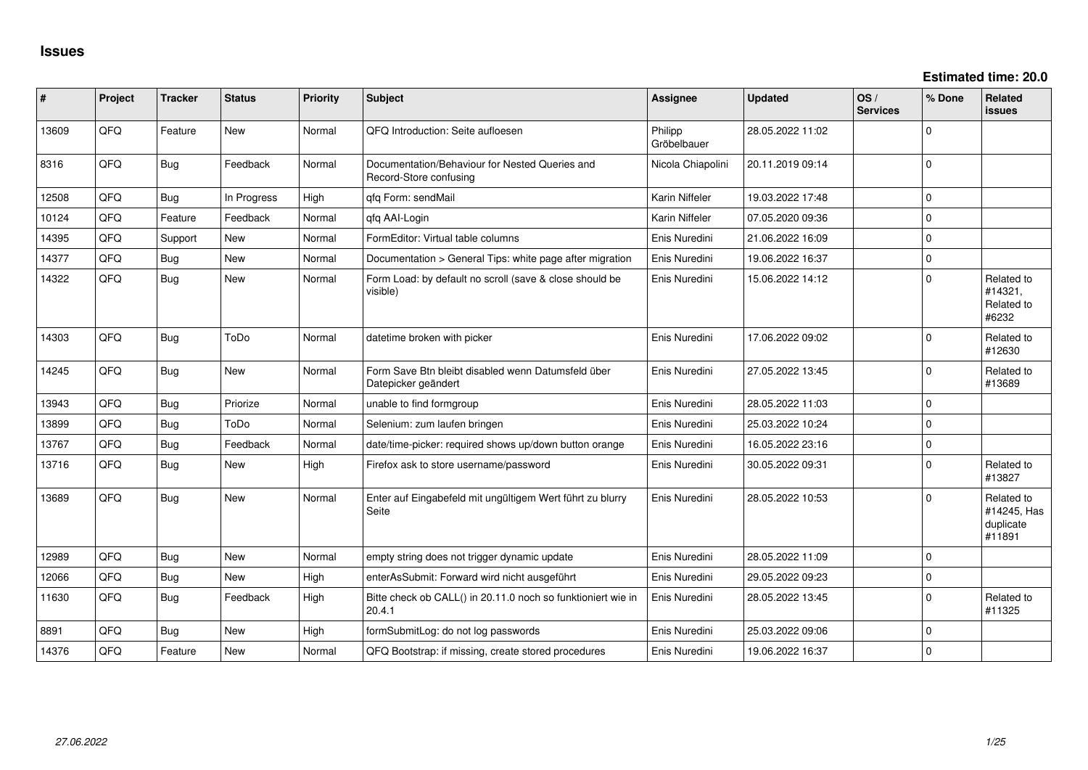| #     | Project | <b>Tracker</b> | <b>Status</b> | <b>Priority</b> | <b>Subject</b>                                                            | <b>Assignee</b>        | <b>Updated</b>   | OS/<br><b>Services</b> | % Done      | <b>Related</b><br><b>issues</b>                  |
|-------|---------|----------------|---------------|-----------------|---------------------------------------------------------------------------|------------------------|------------------|------------------------|-------------|--------------------------------------------------|
| 13609 | QFQ     | Feature        | <b>New</b>    | Normal          | QFQ Introduction: Seite aufloesen                                         | Philipp<br>Gröbelbauer | 28.05.2022 11:02 |                        | $\mathbf 0$ |                                                  |
| 8316  | QFQ     | Bug            | Feedback      | Normal          | Documentation/Behaviour for Nested Queries and<br>Record-Store confusing  | Nicola Chiapolini      | 20.11.2019 09:14 |                        | $\mathbf 0$ |                                                  |
| 12508 | QFQ     | Bug            | In Progress   | High            | gfg Form: sendMail                                                        | Karin Niffeler         | 19.03.2022 17:48 |                        | $\mathbf 0$ |                                                  |
| 10124 | QFQ     | Feature        | Feedback      | Normal          | qfq AAI-Login                                                             | Karin Niffeler         | 07.05.2020 09:36 |                        | $\mathbf 0$ |                                                  |
| 14395 | QFQ     | Support        | <b>New</b>    | Normal          | FormEditor: Virtual table columns                                         | Enis Nuredini          | 21.06.2022 16:09 |                        | $\mathbf 0$ |                                                  |
| 14377 | QFQ     | Bug            | New           | Normal          | Documentation > General Tips: white page after migration                  | Enis Nuredini          | 19.06.2022 16:37 |                        | $\mathbf 0$ |                                                  |
| 14322 | QFQ     | <b>Bug</b>     | New           | Normal          | Form Load: by default no scroll (save & close should be<br>visible)       | Enis Nuredini          | 15.06.2022 14:12 |                        | $\mathbf 0$ | Related to<br>#14321,<br>Related to<br>#6232     |
| 14303 | QFQ     | <b>Bug</b>     | ToDo          | Normal          | datetime broken with picker                                               | Enis Nuredini          | 17.06.2022 09:02 |                        | $\mathbf 0$ | Related to<br>#12630                             |
| 14245 | QFQ     | Bug            | <b>New</b>    | Normal          | Form Save Btn bleibt disabled wenn Datumsfeld über<br>Datepicker geändert | Enis Nuredini          | 27.05.2022 13:45 |                        | $\Omega$    | Related to<br>#13689                             |
| 13943 | QFQ     | Bug            | Priorize      | Normal          | unable to find formgroup                                                  | Enis Nuredini          | 28.05.2022 11:03 |                        | $\mathbf 0$ |                                                  |
| 13899 | QFQ     | <b>Bug</b>     | ToDo          | Normal          | Selenium: zum laufen bringen                                              | Enis Nuredini          | 25.03.2022 10:24 |                        | $\mathbf 0$ |                                                  |
| 13767 | QFQ     | <b>Bug</b>     | Feedback      | Normal          | date/time-picker: required shows up/down button orange                    | Enis Nuredini          | 16.05.2022 23:16 |                        | $\mathbf 0$ |                                                  |
| 13716 | QFQ     | <b>Bug</b>     | New           | High            | Firefox ask to store username/password                                    | Enis Nuredini          | 30.05.2022 09:31 |                        | $\mathbf 0$ | Related to<br>#13827                             |
| 13689 | QFQ     | <b>Bug</b>     | New           | Normal          | Enter auf Eingabefeld mit ungültigem Wert führt zu blurry<br>Seite        | Enis Nuredini          | 28.05.2022 10:53 |                        | $\mathbf 0$ | Related to<br>#14245, Has<br>duplicate<br>#11891 |
| 12989 | QFQ     | Bug            | <b>New</b>    | Normal          | empty string does not trigger dynamic update                              | Enis Nuredini          | 28.05.2022 11:09 |                        | $\mathbf 0$ |                                                  |
| 12066 | QFQ     | <b>Bug</b>     | New           | High            | enterAsSubmit: Forward wird nicht ausgeführt                              | Enis Nuredini          | 29.05.2022 09:23 |                        | $\mathbf 0$ |                                                  |
| 11630 | QFQ     | Bug            | Feedback      | High            | Bitte check ob CALL() in 20.11.0 noch so funktioniert wie in<br>20.4.1    | Enis Nuredini          | 28.05.2022 13:45 |                        | $\mathbf 0$ | Related to<br>#11325                             |
| 8891  | QFQ     | <b>Bug</b>     | <b>New</b>    | High            | formSubmitLog: do not log passwords                                       | Enis Nuredini          | 25.03.2022 09:06 |                        | $\mathbf 0$ |                                                  |
| 14376 | QFQ     | Feature        | New           | Normal          | QFQ Bootstrap: if missing, create stored procedures                       | Enis Nuredini          | 19.06.2022 16:37 |                        | $\mathbf 0$ |                                                  |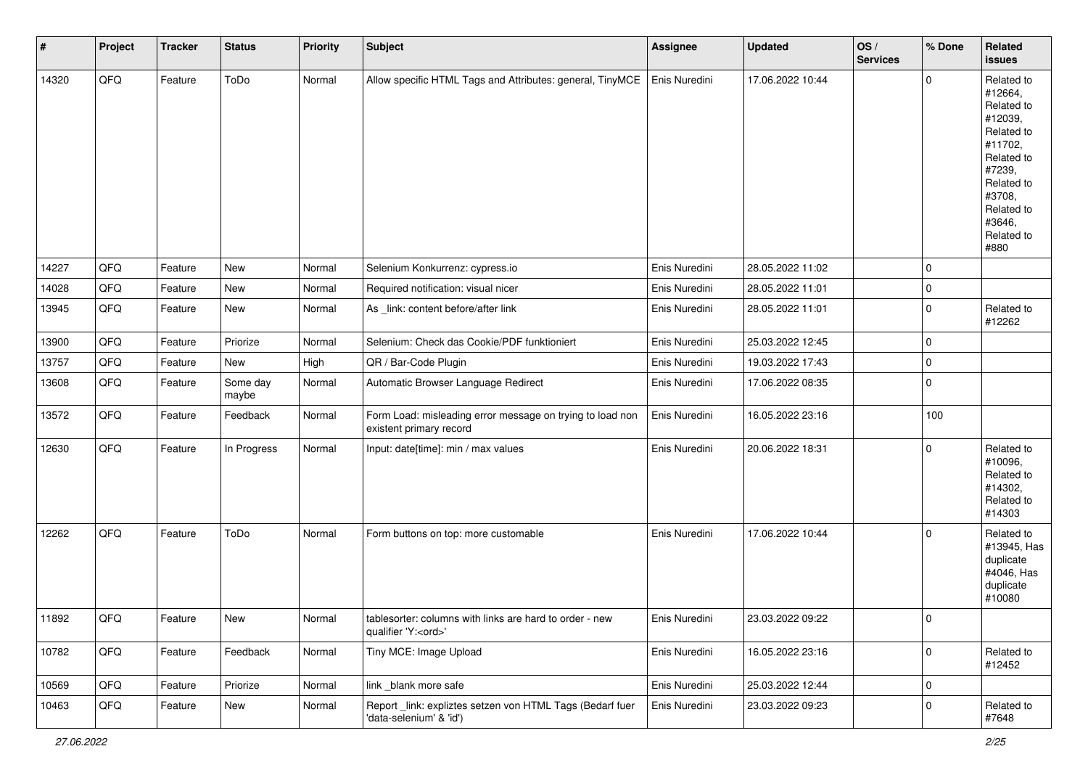| $\vert$ # | Project | <b>Tracker</b> | <b>Status</b>     | <b>Priority</b> | <b>Subject</b>                                                                        | <b>Assignee</b> | Updated          | OS/<br><b>Services</b> | % Done      | Related<br><b>issues</b>                                                                                                                                              |
|-----------|---------|----------------|-------------------|-----------------|---------------------------------------------------------------------------------------|-----------------|------------------|------------------------|-------------|-----------------------------------------------------------------------------------------------------------------------------------------------------------------------|
| 14320     | QFQ     | Feature        | ToDo              | Normal          | Allow specific HTML Tags and Attributes: general, TinyMCE                             | Enis Nuredini   | 17.06.2022 10:44 |                        | $\mathbf 0$ | Related to<br>#12664,<br>Related to<br>#12039,<br>Related to<br>#11702,<br>Related to<br>#7239,<br>Related to<br>#3708,<br>Related to<br>#3646,<br>Related to<br>#880 |
| 14227     | QFQ     | Feature        | New               | Normal          | Selenium Konkurrenz: cypress.io                                                       | Enis Nuredini   | 28.05.2022 11:02 |                        | $\mathbf 0$ |                                                                                                                                                                       |
| 14028     | QFQ     | Feature        | New               | Normal          | Required notification: visual nicer                                                   | Enis Nuredini   | 28.05.2022 11:01 |                        | $\mathbf 0$ |                                                                                                                                                                       |
| 13945     | QFQ     | Feature        | New               | Normal          | As _link: content before/after link                                                   | Enis Nuredini   | 28.05.2022 11:01 |                        | $\mathbf 0$ | Related to<br>#12262                                                                                                                                                  |
| 13900     | QFQ     | Feature        | Priorize          | Normal          | Selenium: Check das Cookie/PDF funktioniert                                           | Enis Nuredini   | 25.03.2022 12:45 |                        | $\mathbf 0$ |                                                                                                                                                                       |
| 13757     | QFQ     | Feature        | New               | High            | QR / Bar-Code Plugin                                                                  | Enis Nuredini   | 19.03.2022 17:43 |                        | $\mathbf 0$ |                                                                                                                                                                       |
| 13608     | QFQ     | Feature        | Some day<br>maybe | Normal          | Automatic Browser Language Redirect                                                   | Enis Nuredini   | 17.06.2022 08:35 |                        | $\mathbf 0$ |                                                                                                                                                                       |
| 13572     | QFQ     | Feature        | Feedback          | Normal          | Form Load: misleading error message on trying to load non<br>existent primary record  | Enis Nuredini   | 16.05.2022 23:16 |                        | 100         |                                                                                                                                                                       |
| 12630     | QFQ     | Feature        | In Progress       | Normal          | Input: date[time]: min / max values                                                   | Enis Nuredini   | 20.06.2022 18:31 |                        | $\mathbf 0$ | Related to<br>#10096,<br>Related to<br>#14302,<br>Related to<br>#14303                                                                                                |
| 12262     | QFQ     | Feature        | ToDo              | Normal          | Form buttons on top: more customable                                                  | Enis Nuredini   | 17.06.2022 10:44 |                        | $\mathbf 0$ | Related to<br>#13945, Has<br>duplicate<br>#4046, Has<br>duplicate<br>#10080                                                                                           |
| 11892     | QFQ     | Feature        | New               | Normal          | tablesorter: columns with links are hard to order - new<br>qualifier 'Y: <ord>'</ord> | Enis Nuredini   | 23.03.2022 09:22 |                        | O           |                                                                                                                                                                       |
| 10782     | QFQ     | Feature        | Feedback          | Normal          | Tiny MCE: Image Upload                                                                | Enis Nuredini   | 16.05.2022 23:16 |                        | $\mathbf 0$ | Related to<br>#12452                                                                                                                                                  |
| 10569     | QFQ     | Feature        | Priorize          | Normal          | link _blank more safe                                                                 | Enis Nuredini   | 25.03.2022 12:44 |                        | $\mathbf 0$ |                                                                                                                                                                       |
| 10463     | QFQ     | Feature        | New               | Normal          | Report _link: expliztes setzen von HTML Tags (Bedarf fuer<br>'data-selenium' & 'id')  | Enis Nuredini   | 23.03.2022 09:23 |                        | $\mathsf 0$ | Related to<br>#7648                                                                                                                                                   |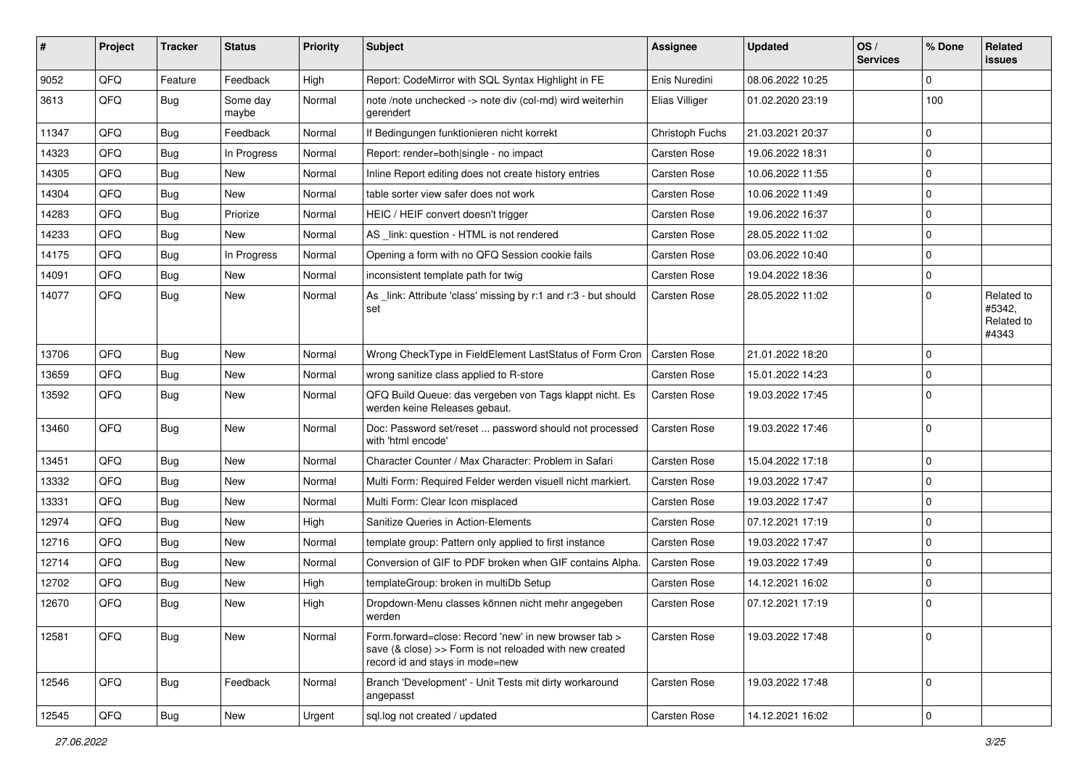| #     | Project | <b>Tracker</b> | <b>Status</b>     | <b>Priority</b> | Subject                                                                                                                                             | <b>Assignee</b>     | <b>Updated</b>   | OS/<br><b>Services</b> | % Done      | <b>Related</b><br><b>issues</b>             |
|-------|---------|----------------|-------------------|-----------------|-----------------------------------------------------------------------------------------------------------------------------------------------------|---------------------|------------------|------------------------|-------------|---------------------------------------------|
| 9052  | QFQ     | Feature        | Feedback          | High            | Report: CodeMirror with SQL Syntax Highlight in FE                                                                                                  | Enis Nuredini       | 08.06.2022 10:25 |                        | $\mathbf 0$ |                                             |
| 3613  | QFQ     | Bug            | Some day<br>maybe | Normal          | note /note unchecked -> note div (col-md) wird weiterhin<br>gerendert                                                                               | Elias Villiger      | 01.02.2020 23:19 |                        | 100         |                                             |
| 11347 | QFQ     | <b>Bug</b>     | Feedback          | Normal          | If Bedingungen funktionieren nicht korrekt                                                                                                          | Christoph Fuchs     | 21.03.2021 20:37 |                        | $\mathbf 0$ |                                             |
| 14323 | QFQ     | <b>Bug</b>     | In Progress       | Normal          | Report: render=both single - no impact                                                                                                              | Carsten Rose        | 19.06.2022 18:31 |                        | $\mathbf 0$ |                                             |
| 14305 | QFQ     | <b>Bug</b>     | New               | Normal          | Inline Report editing does not create history entries                                                                                               | Carsten Rose        | 10.06.2022 11:55 |                        | $\mathbf 0$ |                                             |
| 14304 | QFQ     | <b>Bug</b>     | New               | Normal          | table sorter view safer does not work                                                                                                               | Carsten Rose        | 10.06.2022 11:49 |                        | $\mathbf 0$ |                                             |
| 14283 | QFQ     | <b>Bug</b>     | Priorize          | Normal          | HEIC / HEIF convert doesn't trigger                                                                                                                 | <b>Carsten Rose</b> | 19.06.2022 16:37 |                        | $\mathbf 0$ |                                             |
| 14233 | QFQ     | <b>Bug</b>     | New               | Normal          | AS _link: question - HTML is not rendered                                                                                                           | <b>Carsten Rose</b> | 28.05.2022 11:02 |                        | $\mathbf 0$ |                                             |
| 14175 | QFQ     | <b>Bug</b>     | In Progress       | Normal          | Opening a form with no QFQ Session cookie fails                                                                                                     | Carsten Rose        | 03.06.2022 10:40 |                        | $\mathbf 0$ |                                             |
| 14091 | QFQ     | Bug            | New               | Normal          | inconsistent template path for twig                                                                                                                 | Carsten Rose        | 19.04.2022 18:36 |                        | $\mathbf 0$ |                                             |
| 14077 | QFQ     | <b>Bug</b>     | New               | Normal          | As _link: Attribute 'class' missing by r:1 and r:3 - but should<br>set                                                                              | Carsten Rose        | 28.05.2022 11:02 |                        | $\mathbf 0$ | Related to<br>#5342.<br>Related to<br>#4343 |
| 13706 | QFQ     | <b>Bug</b>     | <b>New</b>        | Normal          | Wrong CheckType in FieldElement LastStatus of Form Cron                                                                                             | Carsten Rose        | 21.01.2022 18:20 |                        | $\mathbf 0$ |                                             |
| 13659 | QFQ     | <b>Bug</b>     | New               | Normal          | wrong sanitize class applied to R-store                                                                                                             | <b>Carsten Rose</b> | 15.01.2022 14:23 |                        | $\mathbf 0$ |                                             |
| 13592 | QFQ     | <b>Bug</b>     | New               | Normal          | QFQ Build Queue: das vergeben von Tags klappt nicht. Es<br>werden keine Releases gebaut.                                                            | Carsten Rose        | 19.03.2022 17:45 |                        | $\mathbf 0$ |                                             |
| 13460 | QFQ     | Bug            | <b>New</b>        | Normal          | Doc: Password set/reset  password should not processed<br>with 'html encode'                                                                        | Carsten Rose        | 19.03.2022 17:46 |                        | $\mathbf 0$ |                                             |
| 13451 | QFQ     | <b>Bug</b>     | <b>New</b>        | Normal          | Character Counter / Max Character: Problem in Safari                                                                                                | Carsten Rose        | 15.04.2022 17:18 |                        | $\mathbf 0$ |                                             |
| 13332 | QFQ     | <b>Bug</b>     | New               | Normal          | Multi Form: Required Felder werden visuell nicht markiert.                                                                                          | <b>Carsten Rose</b> | 19.03.2022 17:47 |                        | $\mathbf 0$ |                                             |
| 13331 | QFQ     | <b>Bug</b>     | New               | Normal          | Multi Form: Clear Icon misplaced                                                                                                                    | <b>Carsten Rose</b> | 19.03.2022 17:47 |                        | $\mathbf 0$ |                                             |
| 12974 | QFQ     | <b>Bug</b>     | New               | High            | Sanitize Queries in Action-Elements                                                                                                                 | Carsten Rose        | 07.12.2021 17:19 |                        | $\mathbf 0$ |                                             |
| 12716 | QFQ     | <b>Bug</b>     | New               | Normal          | template group: Pattern only applied to first instance                                                                                              | <b>Carsten Rose</b> | 19.03.2022 17:47 |                        | $\mathbf 0$ |                                             |
| 12714 | QFQ     | <b>Bug</b>     | New               | Normal          | Conversion of GIF to PDF broken when GIF contains Alpha.                                                                                            | <b>Carsten Rose</b> | 19.03.2022 17:49 |                        | $\mathbf 0$ |                                             |
| 12702 | QFQ     | <b>Bug</b>     | <b>New</b>        | High            | templateGroup: broken in multiDb Setup                                                                                                              | Carsten Rose        | 14.12.2021 16:02 |                        | $\mathbf 0$ |                                             |
| 12670 | QFQ     | <b>Bug</b>     | New               | High            | Dropdown-Menu classes können nicht mehr angegeben<br>werden                                                                                         | Carsten Rose        | 07.12.2021 17:19 |                        | $\mathbf 0$ |                                             |
| 12581 | QFQ     | Bug            | New               | Normal          | Form.forward=close: Record 'new' in new browser tab ><br>save (& close) >> Form is not reloaded with new created<br>record id and stays in mode=new | Carsten Rose        | 19.03.2022 17:48 |                        | $\mathbf 0$ |                                             |
| 12546 | QFQ     | Bug            | Feedback          | Normal          | Branch 'Development' - Unit Tests mit dirty workaround<br>angepasst                                                                                 | Carsten Rose        | 19.03.2022 17:48 |                        | $\mathbf 0$ |                                             |
| 12545 | QFQ     | <b>Bug</b>     | New               | Urgent          | sql.log not created / updated                                                                                                                       | Carsten Rose        | 14.12.2021 16:02 |                        | $\mathsf 0$ |                                             |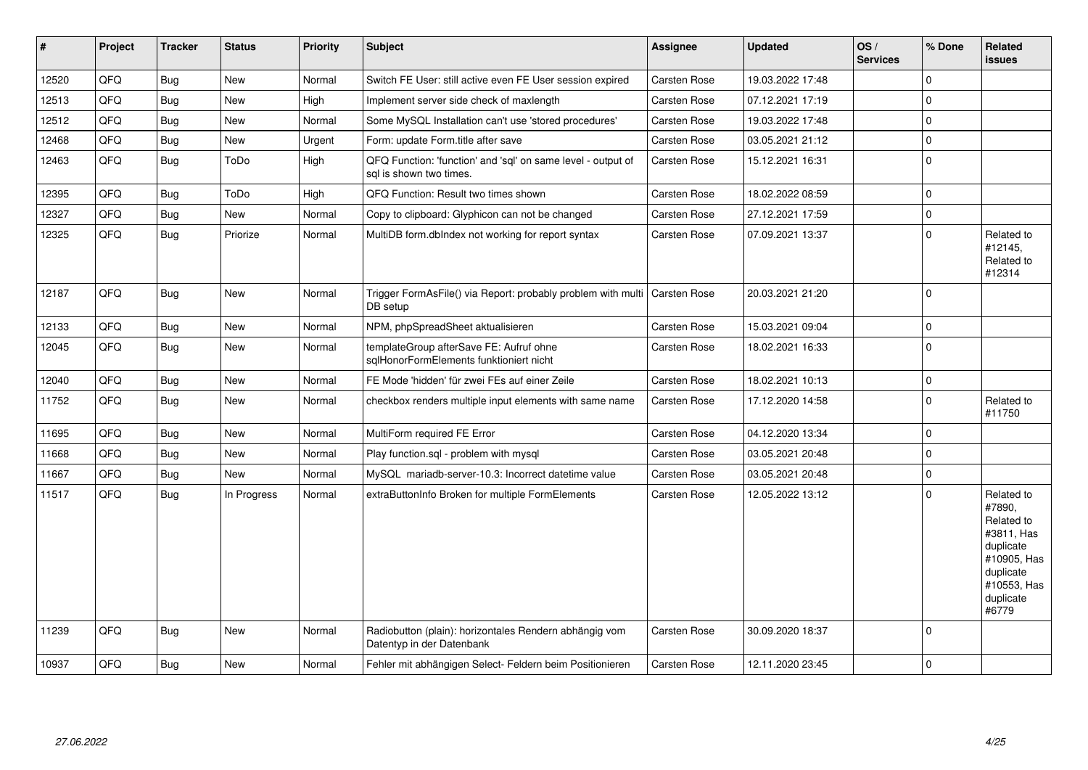| #     | Project | <b>Tracker</b> | <b>Status</b> | <b>Priority</b> | <b>Subject</b>                                                                          | <b>Assignee</b>     | <b>Updated</b>   | OS/<br><b>Services</b> | % Done      | Related<br><b>issues</b>                                                                                                       |
|-------|---------|----------------|---------------|-----------------|-----------------------------------------------------------------------------------------|---------------------|------------------|------------------------|-------------|--------------------------------------------------------------------------------------------------------------------------------|
| 12520 | QFQ     | <b>Bug</b>     | <b>New</b>    | Normal          | Switch FE User: still active even FE User session expired                               | Carsten Rose        | 19.03.2022 17:48 |                        | $\mathbf 0$ |                                                                                                                                |
| 12513 | QFQ     | <b>Bug</b>     | <b>New</b>    | High            | Implement server side check of maxlength                                                | Carsten Rose        | 07.12.2021 17:19 |                        | $\mathbf 0$ |                                                                                                                                |
| 12512 | QFQ     | <b>Bug</b>     | New           | Normal          | Some MySQL Installation can't use 'stored procedures'                                   | Carsten Rose        | 19.03.2022 17:48 |                        | $\mathbf 0$ |                                                                                                                                |
| 12468 | QFQ     | <b>Bug</b>     | New           | Urgent          | Form: update Form.title after save                                                      | Carsten Rose        | 03.05.2021 21:12 |                        | $\pmb{0}$   |                                                                                                                                |
| 12463 | QFQ     | <b>Bug</b>     | ToDo          | High            | QFQ Function: 'function' and 'sql' on same level - output of<br>sql is shown two times. | Carsten Rose        | 15.12.2021 16:31 |                        | $\mathbf 0$ |                                                                                                                                |
| 12395 | QFQ     | <b>Bug</b>     | ToDo          | High            | QFQ Function: Result two times shown                                                    | Carsten Rose        | 18.02.2022 08:59 |                        | $\mathbf 0$ |                                                                                                                                |
| 12327 | QFQ     | <b>Bug</b>     | New           | Normal          | Copy to clipboard: Glyphicon can not be changed                                         | Carsten Rose        | 27.12.2021 17:59 |                        | $\mathbf 0$ |                                                                                                                                |
| 12325 | QFQ     | <b>Bug</b>     | Priorize      | Normal          | MultiDB form.dbIndex not working for report syntax                                      | Carsten Rose        | 07.09.2021 13:37 |                        | $\mathbf 0$ | Related to<br>#12145,<br>Related to<br>#12314                                                                                  |
| 12187 | QFQ     | <b>Bug</b>     | New           | Normal          | Trigger FormAsFile() via Report: probably problem with multi<br>DB setup                | <b>Carsten Rose</b> | 20.03.2021 21:20 |                        | $\mathbf 0$ |                                                                                                                                |
| 12133 | QFQ     | <b>Bug</b>     | New           | Normal          | NPM, phpSpreadSheet aktualisieren                                                       | Carsten Rose        | 15.03.2021 09:04 |                        | $\mathbf 0$ |                                                                                                                                |
| 12045 | QFQ     | <b>Bug</b>     | New           | Normal          | templateGroup afterSave FE: Aufruf ohne<br>sqlHonorFormElements funktioniert nicht      | Carsten Rose        | 18.02.2021 16:33 |                        | $\mathbf 0$ |                                                                                                                                |
| 12040 | QFQ     | <b>Bug</b>     | New           | Normal          | FE Mode 'hidden' für zwei FEs auf einer Zeile                                           | Carsten Rose        | 18.02.2021 10:13 |                        | $\mathbf 0$ |                                                                                                                                |
| 11752 | QFQ     | Bug            | <b>New</b>    | Normal          | checkbox renders multiple input elements with same name                                 | Carsten Rose        | 17.12.2020 14:58 |                        | $\mathbf 0$ | Related to<br>#11750                                                                                                           |
| 11695 | QFQ     | <b>Bug</b>     | New           | Normal          | MultiForm required FE Error                                                             | Carsten Rose        | 04.12.2020 13:34 |                        | $\pmb{0}$   |                                                                                                                                |
| 11668 | QFQ     | <b>Bug</b>     | New           | Normal          | Play function.sql - problem with mysql                                                  | Carsten Rose        | 03.05.2021 20:48 |                        | $\mathbf 0$ |                                                                                                                                |
| 11667 | QFQ     | <b>Bug</b>     | New           | Normal          | MySQL mariadb-server-10.3: Incorrect datetime value                                     | Carsten Rose        | 03.05.2021 20:48 |                        | $\mathbf 0$ |                                                                                                                                |
| 11517 | QFQ     | Bug            | In Progress   | Normal          | extraButtonInfo Broken for multiple FormElements                                        | Carsten Rose        | 12.05.2022 13:12 |                        | $\mathbf 0$ | Related to<br>#7890.<br>Related to<br>#3811, Has<br>duplicate<br>#10905, Has<br>duplicate<br>#10553, Has<br>duplicate<br>#6779 |
| 11239 | QFQ     | <b>Bug</b>     | New           | Normal          | Radiobutton (plain): horizontales Rendern abhängig vom<br>Datentyp in der Datenbank     | Carsten Rose        | 30.09.2020 18:37 |                        | $\mathbf 0$ |                                                                                                                                |
| 10937 | QFQ     | <b>Bug</b>     | New           | Normal          | Fehler mit abhängigen Select- Feldern beim Positionieren                                | Carsten Rose        | 12.11.2020 23:45 |                        | $\mathbf 0$ |                                                                                                                                |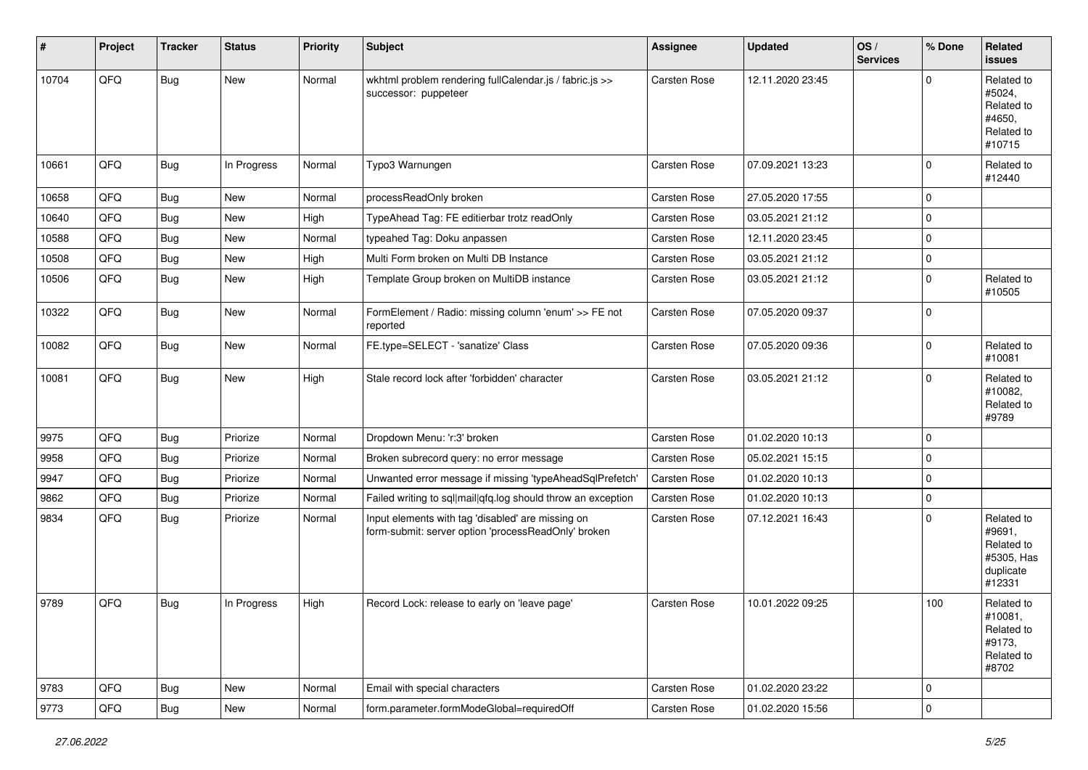| #     | Project | <b>Tracker</b> | <b>Status</b> | <b>Priority</b> | <b>Subject</b>                                                                                           | <b>Assignee</b>     | <b>Updated</b>   | OS/<br><b>Services</b> | % Done      | Related<br><b>issues</b>                                                |
|-------|---------|----------------|---------------|-----------------|----------------------------------------------------------------------------------------------------------|---------------------|------------------|------------------------|-------------|-------------------------------------------------------------------------|
| 10704 | QFQ     | <b>Bug</b>     | New           | Normal          | wkhtml problem rendering fullCalendar.js / fabric.js >><br>successor: puppeteer                          | <b>Carsten Rose</b> | 12.11.2020 23:45 |                        | $\Omega$    | Related to<br>#5024,<br>Related to<br>#4650,<br>Related to<br>#10715    |
| 10661 | QFQ     | <b>Bug</b>     | In Progress   | Normal          | Typo3 Warnungen                                                                                          | Carsten Rose        | 07.09.2021 13:23 |                        | $\Omega$    | Related to<br>#12440                                                    |
| 10658 | QFQ     | Bug            | New           | Normal          | processReadOnly broken                                                                                   | Carsten Rose        | 27.05.2020 17:55 |                        | $\Omega$    |                                                                         |
| 10640 | QFQ     | <b>Bug</b>     | New           | High            | TypeAhead Tag: FE editierbar trotz readOnly                                                              | Carsten Rose        | 03.05.2021 21:12 |                        | $\Omega$    |                                                                         |
| 10588 | QFQ     | <b>Bug</b>     | New           | Normal          | typeahed Tag: Doku anpassen                                                                              | Carsten Rose        | 12.11.2020 23:45 |                        | $\Omega$    |                                                                         |
| 10508 | QFQ     | <b>Bug</b>     | New           | High            | Multi Form broken on Multi DB Instance                                                                   | Carsten Rose        | 03.05.2021 21:12 |                        | $\Omega$    |                                                                         |
| 10506 | QFQ     | <b>Bug</b>     | New           | High            | Template Group broken on MultiDB instance                                                                | Carsten Rose        | 03.05.2021 21:12 |                        | $\Omega$    | Related to<br>#10505                                                    |
| 10322 | QFQ     | <b>Bug</b>     | New           | Normal          | FormElement / Radio: missing column 'enum' >> FE not<br>reported                                         | Carsten Rose        | 07.05.2020 09:37 |                        | $\Omega$    |                                                                         |
| 10082 | QFQ     | Bug            | New           | Normal          | FE.type=SELECT - 'sanatize' Class                                                                        | Carsten Rose        | 07.05.2020 09:36 |                        | $\Omega$    | Related to<br>#10081                                                    |
| 10081 | QFQ     | <b>Bug</b>     | New           | High            | Stale record lock after 'forbidden' character                                                            | <b>Carsten Rose</b> | 03.05.2021 21:12 |                        | $\Omega$    | Related to<br>#10082,<br>Related to<br>#9789                            |
| 9975  | QFQ     | <b>Bug</b>     | Priorize      | Normal          | Dropdown Menu: 'r:3' broken                                                                              | Carsten Rose        | 01.02.2020 10:13 |                        | $\Omega$    |                                                                         |
| 9958  | QFQ     | <b>Bug</b>     | Priorize      | Normal          | Broken subrecord query: no error message                                                                 | Carsten Rose        | 05.02.2021 15:15 |                        | $\Omega$    |                                                                         |
| 9947  | QFQ     | <b>Bug</b>     | Priorize      | Normal          | Unwanted error message if missing 'typeAheadSqlPrefetch'                                                 | Carsten Rose        | 01.02.2020 10:13 |                        | $\Omega$    |                                                                         |
| 9862  | QFQ     | <b>Bug</b>     | Priorize      | Normal          | Failed writing to sql mail qfq.log should throw an exception                                             | Carsten Rose        | 01.02.2020 10:13 |                        | $\Omega$    |                                                                         |
| 9834  | QFQ     | <b>Bug</b>     | Priorize      | Normal          | Input elements with tag 'disabled' are missing on<br>form-submit: server option 'processReadOnly' broken | Carsten Rose        | 07.12.2021 16:43 |                        | $\Omega$    | Related to<br>#9691,<br>Related to<br>#5305, Has<br>duplicate<br>#12331 |
| 9789  | QFQ     | <b>Bug</b>     | In Progress   | High            | Record Lock: release to early on 'leave page'                                                            | Carsten Rose        | 10.01.2022 09:25 |                        | 100         | Related to<br>#10081,<br>Related to<br>#9173,<br>Related to<br>#8702    |
| 9783  | QFQ     | Bug            | New           | Normal          | Email with special characters                                                                            | Carsten Rose        | 01.02.2020 23:22 |                        | $\Omega$    |                                                                         |
| 9773  | QFQ     | Bug            | New           | Normal          | form.parameter.formModeGlobal=requiredOff                                                                | Carsten Rose        | 01.02.2020 15:56 |                        | $\mathbf 0$ |                                                                         |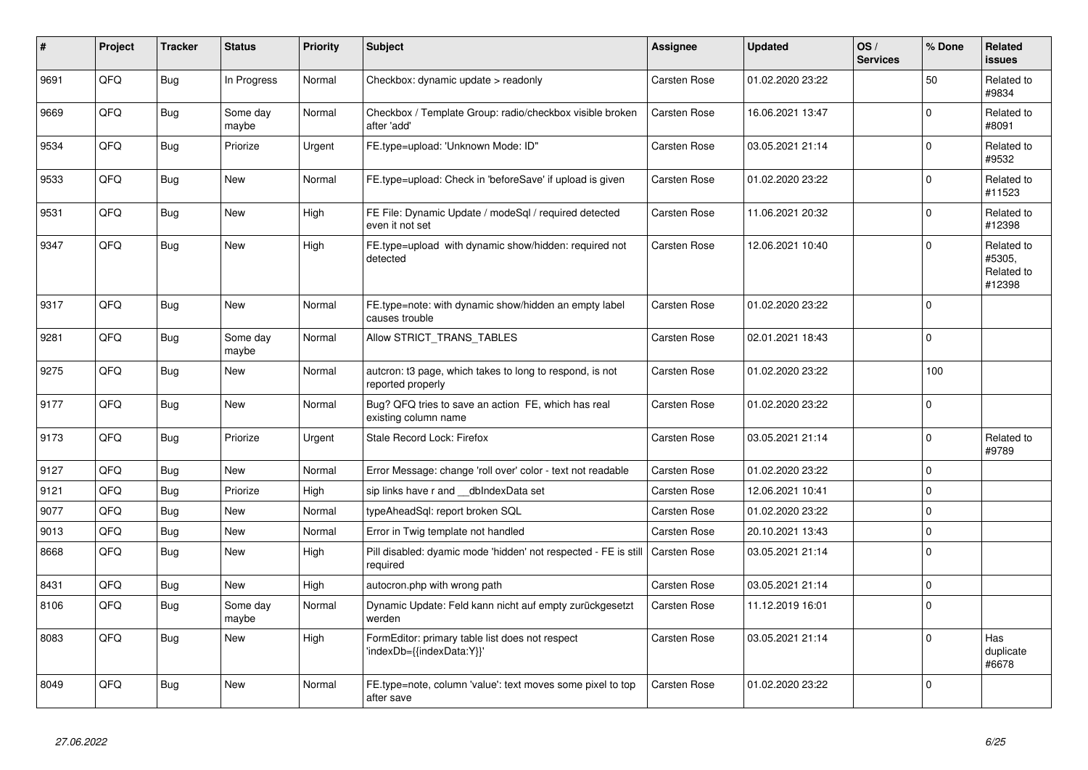| #    | Project | <b>Tracker</b> | <b>Status</b>     | <b>Priority</b> | <b>Subject</b>                                                                | <b>Assignee</b>     | <b>Updated</b>   | OS/<br><b>Services</b> | % Done   | Related<br><b>issues</b>                     |
|------|---------|----------------|-------------------|-----------------|-------------------------------------------------------------------------------|---------------------|------------------|------------------------|----------|----------------------------------------------|
| 9691 | QFQ     | <b>Bug</b>     | In Progress       | Normal          | Checkbox: dynamic update > readonly                                           | Carsten Rose        | 01.02.2020 23:22 |                        | 50       | Related to<br>#9834                          |
| 9669 | QFQ     | Bug            | Some day<br>maybe | Normal          | Checkbox / Template Group: radio/checkbox visible broken<br>after 'add'       | Carsten Rose        | 16.06.2021 13:47 |                        | $\Omega$ | Related to<br>#8091                          |
| 9534 | QFQ     | Bug            | Priorize          | Urgent          | FE.type=upload: 'Unknown Mode: ID"                                            | Carsten Rose        | 03.05.2021 21:14 |                        | $\Omega$ | Related to<br>#9532                          |
| 9533 | QFQ     | Bug            | New               | Normal          | FE.type=upload: Check in 'beforeSave' if upload is given                      | Carsten Rose        | 01.02.2020 23:22 |                        | $\Omega$ | Related to<br>#11523                         |
| 9531 | QFQ     | <b>Bug</b>     | <b>New</b>        | High            | FE File: Dynamic Update / modeSql / required detected<br>even it not set      | Carsten Rose        | 11.06.2021 20:32 |                        | $\Omega$ | Related to<br>#12398                         |
| 9347 | QFQ     | Bug            | New               | High            | FE.type=upload with dynamic show/hidden: required not<br>detected             | Carsten Rose        | 12.06.2021 10:40 |                        | $\Omega$ | Related to<br>#5305.<br>Related to<br>#12398 |
| 9317 | QFQ     | Bug            | New               | Normal          | FE.type=note: with dynamic show/hidden an empty label<br>causes trouble       | <b>Carsten Rose</b> | 01.02.2020 23:22 |                        | $\Omega$ |                                              |
| 9281 | QFQ     | <b>Bug</b>     | Some day<br>maybe | Normal          | Allow STRICT_TRANS_TABLES                                                     | Carsten Rose        | 02.01.2021 18:43 |                        | $\Omega$ |                                              |
| 9275 | QFQ     | <b>Bug</b>     | New               | Normal          | auteron: t3 page, which takes to long to respond, is not<br>reported properly | Carsten Rose        | 01.02.2020 23:22 |                        | 100      |                                              |
| 9177 | QFQ     | Bug            | New               | Normal          | Bug? QFQ tries to save an action FE, which has real<br>existing column name   | Carsten Rose        | 01.02.2020 23:22 |                        | $\Omega$ |                                              |
| 9173 | QFQ     | Bug            | Priorize          | Urgent          | Stale Record Lock: Firefox                                                    | Carsten Rose        | 03.05.2021 21:14 |                        | $\Omega$ | Related to<br>#9789                          |
| 9127 | QFQ     | <b>Bug</b>     | <b>New</b>        | Normal          | Error Message: change 'roll over' color - text not readable                   | Carsten Rose        | 01.02.2020 23:22 |                        | $\Omega$ |                                              |
| 9121 | QFQ     | Bug            | Priorize          | High            | sip links have r and __dbIndexData set                                        | Carsten Rose        | 12.06.2021 10:41 |                        | $\Omega$ |                                              |
| 9077 | QFQ     | Bug            | <b>New</b>        | Normal          | typeAheadSql: report broken SQL                                               | Carsten Rose        | 01.02.2020 23:22 |                        | $\Omega$ |                                              |
| 9013 | QFQ     | <b>Bug</b>     | New               | Normal          | Error in Twig template not handled                                            | Carsten Rose        | 20.10.2021 13:43 |                        | $\Omega$ |                                              |
| 8668 | QFQ     | <b>Bug</b>     | New               | High            | Pill disabled: dyamic mode 'hidden' not respected - FE is still<br>required   | Carsten Rose        | 03.05.2021 21:14 |                        | $\Omega$ |                                              |
| 8431 | QFQ     | <b>Bug</b>     | New               | High            | autocron.php with wrong path                                                  | Carsten Rose        | 03.05.2021 21:14 |                        | $\Omega$ |                                              |
| 8106 | QFQ     | <b>Bug</b>     | Some day<br>maybe | Normal          | Dynamic Update: Feld kann nicht auf empty zurückgesetzt<br>werden             | Carsten Rose        | 11.12.2019 16:01 |                        | $\Omega$ |                                              |
| 8083 | QFQ     | Bug            | <b>New</b>        | High            | FormEditor: primary table list does not respect<br>'indexDb={{indexData:Y}}'  | Carsten Rose        | 03.05.2021 21:14 |                        | $\Omega$ | Has<br>duplicate<br>#6678                    |
| 8049 | QFQ     | Bug            | New               | Normal          | FE.type=note, column 'value': text moves some pixel to top<br>after save      | Carsten Rose        | 01.02.2020 23:22 |                        | $\Omega$ |                                              |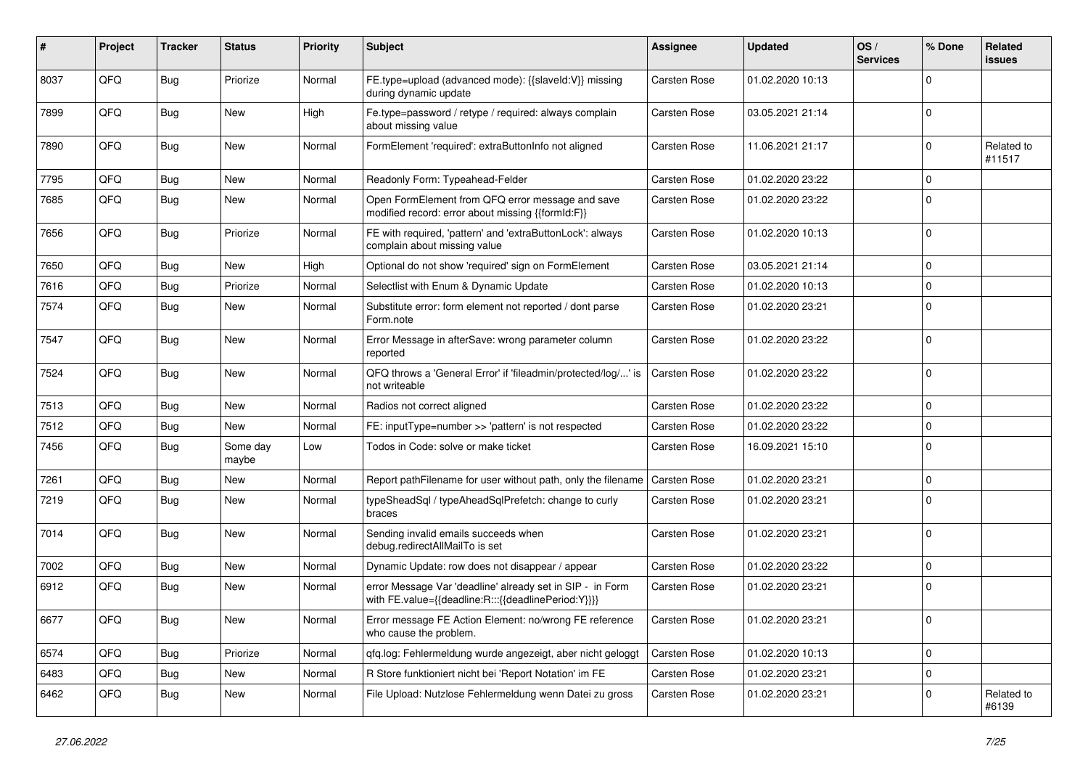| #    | Project | <b>Tracker</b> | <b>Status</b>     | <b>Priority</b> | <b>Subject</b>                                                                                                   | <b>Assignee</b>     | <b>Updated</b>   | OS/<br><b>Services</b> | % Done      | Related<br><b>issues</b> |
|------|---------|----------------|-------------------|-----------------|------------------------------------------------------------------------------------------------------------------|---------------------|------------------|------------------------|-------------|--------------------------|
| 8037 | QFQ     | <b>Bug</b>     | Priorize          | Normal          | FE.type=upload (advanced mode): {{slaveId:V}} missing<br>during dynamic update                                   | Carsten Rose        | 01.02.2020 10:13 |                        | $\mathbf 0$ |                          |
| 7899 | QFQ     | <b>Bug</b>     | New               | High            | Fe.type=password / retype / required: always complain<br>about missing value                                     | Carsten Rose        | 03.05.2021 21:14 |                        | $\mathbf 0$ |                          |
| 7890 | QFQ     | Bug            | New               | Normal          | FormElement 'required': extraButtonInfo not aligned                                                              | Carsten Rose        | 11.06.2021 21:17 |                        | $\Omega$    | Related to<br>#11517     |
| 7795 | QFQ     | <b>Bug</b>     | <b>New</b>        | Normal          | Readonly Form: Typeahead-Felder                                                                                  | Carsten Rose        | 01.02.2020 23:22 |                        | $\mathbf 0$ |                          |
| 7685 | QFQ     | <b>Bug</b>     | New               | Normal          | Open FormElement from QFQ error message and save<br>modified record: error about missing {{formId:F}}            | <b>Carsten Rose</b> | 01.02.2020 23:22 |                        | $\Omega$    |                          |
| 7656 | QFQ     | Bug            | Priorize          | Normal          | FE with required, 'pattern' and 'extraButtonLock': always<br>complain about missing value                        | Carsten Rose        | 01.02.2020 10:13 |                        | $\mathbf 0$ |                          |
| 7650 | QFQ     | Bug            | <b>New</b>        | High            | Optional do not show 'required' sign on FormElement                                                              | Carsten Rose        | 03.05.2021 21:14 |                        | $\mathbf 0$ |                          |
| 7616 | QFQ     | <b>Bug</b>     | Priorize          | Normal          | Selectlist with Enum & Dynamic Update                                                                            | Carsten Rose        | 01.02.2020 10:13 |                        | $\mathsf 0$ |                          |
| 7574 | QFQ     | Bug            | New               | Normal          | Substitute error: form element not reported / dont parse<br>Form.note                                            | Carsten Rose        | 01.02.2020 23:21 |                        | $\mathbf 0$ |                          |
| 7547 | QFQ     | <b>Bug</b>     | New               | Normal          | Error Message in afterSave: wrong parameter column<br>reported                                                   | Carsten Rose        | 01.02.2020 23:22 |                        | $\mathbf 0$ |                          |
| 7524 | QFQ     | <b>Bug</b>     | New               | Normal          | QFQ throws a 'General Error' if 'fileadmin/protected/log/' is<br>not writeable                                   | Carsten Rose        | 01.02.2020 23:22 |                        | $\mathbf 0$ |                          |
| 7513 | QFQ     | <b>Bug</b>     | New               | Normal          | Radios not correct aligned                                                                                       | Carsten Rose        | 01.02.2020 23:22 |                        | $\mathsf 0$ |                          |
| 7512 | QFQ     | <b>Bug</b>     | New               | Normal          | FE: inputType=number >> 'pattern' is not respected                                                               | Carsten Rose        | 01.02.2020 23:22 |                        | $\mathbf 0$ |                          |
| 7456 | QFQ     | <b>Bug</b>     | Some day<br>maybe | Low             | Todos in Code: solve or make ticket                                                                              | Carsten Rose        | 16.09.2021 15:10 |                        | $\mathbf 0$ |                          |
| 7261 | QFQ     | Bug            | New               | Normal          | Report pathFilename for user without path, only the filename                                                     | Carsten Rose        | 01.02.2020 23:21 |                        | $\mathsf 0$ |                          |
| 7219 | QFQ     | <b>Bug</b>     | New               | Normal          | typeSheadSql / typeAheadSqlPrefetch: change to curly<br>braces                                                   | Carsten Rose        | 01.02.2020 23:21 |                        | $\mathbf 0$ |                          |
| 7014 | QFQ     | Bug            | New               | Normal          | Sending invalid emails succeeds when<br>debug.redirectAllMailTo is set                                           | Carsten Rose        | 01.02.2020 23:21 |                        | $\mathbf 0$ |                          |
| 7002 | QFQ     | <b>Bug</b>     | New               | Normal          | Dynamic Update: row does not disappear / appear                                                                  | Carsten Rose        | 01.02.2020 23:22 |                        | $\mathsf 0$ |                          |
| 6912 | QFQ     | Bug            | New               | Normal          | error Message Var 'deadline' already set in SIP - in Form<br>with FE.value={{deadline:R:::{{deadlinePeriod:Y}}}} | <b>Carsten Rose</b> | 01.02.2020 23:21 |                        | $\mathbf 0$ |                          |
| 6677 | QFQ     | <b>Bug</b>     | New               | Normal          | Error message FE Action Element: no/wrong FE reference<br>who cause the problem.                                 | Carsten Rose        | 01.02.2020 23:21 |                        | $\mathbf 0$ |                          |
| 6574 | QFQ     | Bug            | Priorize          | Normal          | gfg.log: Fehlermeldung wurde angezeigt, aber nicht geloggt                                                       | Carsten Rose        | 01.02.2020 10:13 |                        | $\mathbf 0$ |                          |
| 6483 | QFQ     | <b>Bug</b>     | New               | Normal          | R Store funktioniert nicht bei 'Report Notation' im FE                                                           | Carsten Rose        | 01.02.2020 23:21 |                        | $\mathbf 0$ |                          |
| 6462 | QFQ     | Bug            | New               | Normal          | File Upload: Nutzlose Fehlermeldung wenn Datei zu gross                                                          | Carsten Rose        | 01.02.2020 23:21 |                        | $\mathbf 0$ | Related to<br>#6139      |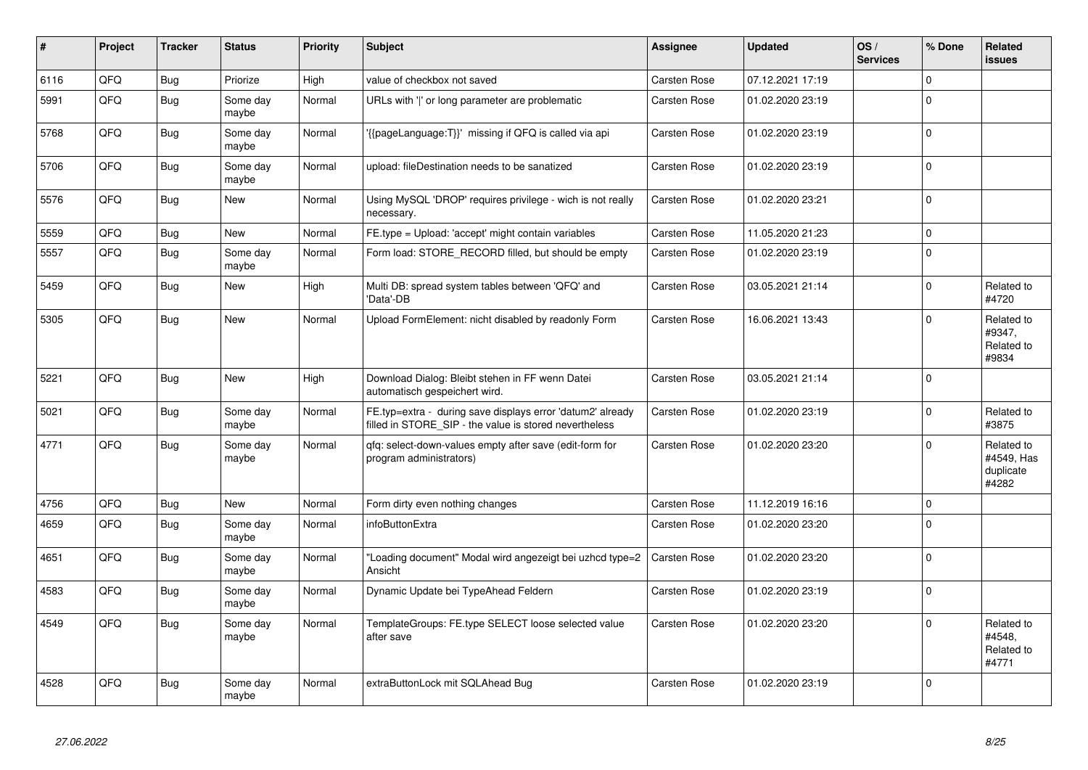| #    | Project | <b>Tracker</b> | <b>Status</b>     | <b>Priority</b> | <b>Subject</b>                                                                                                       | Assignee            | <b>Updated</b>   | OS/<br><b>Services</b> | % Done      | Related<br><b>issues</b>                       |
|------|---------|----------------|-------------------|-----------------|----------------------------------------------------------------------------------------------------------------------|---------------------|------------------|------------------------|-------------|------------------------------------------------|
| 6116 | QFQ     | <b>Bug</b>     | Priorize          | High            | value of checkbox not saved                                                                                          | Carsten Rose        | 07.12.2021 17:19 |                        | $\mathbf 0$ |                                                |
| 5991 | QFQ     | <b>Bug</b>     | Some day<br>maybe | Normal          | URLs with ' ' or long parameter are problematic                                                                      | Carsten Rose        | 01.02.2020 23:19 |                        | $\Omega$    |                                                |
| 5768 | QFQ     | Bug            | Some day<br>maybe | Normal          | '{{pageLanguage:T}}' missing if QFQ is called via api                                                                | Carsten Rose        | 01.02.2020 23:19 |                        | $\mathbf 0$ |                                                |
| 5706 | QFQ     | Bug            | Some day<br>maybe | Normal          | upload: fileDestination needs to be sanatized                                                                        | Carsten Rose        | 01.02.2020 23:19 |                        | $\mathbf 0$ |                                                |
| 5576 | QFQ     | Bug            | New               | Normal          | Using MySQL 'DROP' requires privilege - wich is not really<br>necessary.                                             | Carsten Rose        | 01.02.2020 23:21 |                        | $\mathbf 0$ |                                                |
| 5559 | QFQ     | Bug            | New               | Normal          | FE.type = Upload: 'accept' might contain variables                                                                   | Carsten Rose        | 11.05.2020 21:23 |                        | $\mathbf 0$ |                                                |
| 5557 | QFQ     | Bug            | Some day<br>maybe | Normal          | Form load: STORE_RECORD filled, but should be empty                                                                  | Carsten Rose        | 01.02.2020 23:19 |                        | $\mathbf 0$ |                                                |
| 5459 | QFQ     | <b>Bug</b>     | New               | High            | Multi DB: spread system tables between 'QFQ' and<br>'Data'-DB                                                        | Carsten Rose        | 03.05.2021 21:14 |                        | $\Omega$    | Related to<br>#4720                            |
| 5305 | QFQ     | Bug            | <b>New</b>        | Normal          | Upload FormElement: nicht disabled by readonly Form                                                                  | Carsten Rose        | 16.06.2021 13:43 |                        | $\Omega$    | Related to<br>#9347,<br>Related to<br>#9834    |
| 5221 | QFQ     | <b>Bug</b>     | New               | High            | Download Dialog: Bleibt stehen in FF wenn Datei<br>automatisch gespeichert wird.                                     | Carsten Rose        | 03.05.2021 21:14 |                        | $\mathbf 0$ |                                                |
| 5021 | QFQ     | <b>Bug</b>     | Some day<br>maybe | Normal          | FE.typ=extra - during save displays error 'datum2' already<br>filled in STORE_SIP - the value is stored nevertheless | Carsten Rose        | 01.02.2020 23:19 |                        | $\mathbf 0$ | Related to<br>#3875                            |
| 4771 | QFQ     | <b>Bug</b>     | Some day<br>maybe | Normal          | gfg: select-down-values empty after save (edit-form for<br>program administrators)                                   | Carsten Rose        | 01.02.2020 23:20 |                        | $\Omega$    | Related to<br>#4549, Has<br>duplicate<br>#4282 |
| 4756 | QFQ     | <b>Bug</b>     | <b>New</b>        | Normal          | Form dirty even nothing changes                                                                                      | Carsten Rose        | 11.12.2019 16:16 |                        | $\mathbf 0$ |                                                |
| 4659 | QFQ     | <b>Bug</b>     | Some day<br>maybe | Normal          | <b>infoButtonExtra</b>                                                                                               | Carsten Rose        | 01.02.2020 23:20 |                        | $\mathbf 0$ |                                                |
| 4651 | QFQ     | <b>Bug</b>     | Some day<br>maybe | Normal          | "Loading document" Modal wird angezeigt bei uzhcd type=2<br>Ansicht                                                  | Carsten Rose        | 01.02.2020 23:20 |                        | $\mathbf 0$ |                                                |
| 4583 | QFQ     | <b>Bug</b>     | Some day<br>maybe | Normal          | Dynamic Update bei TypeAhead Feldern                                                                                 | Carsten Rose        | 01.02.2020 23:19 |                        | $\mathbf 0$ |                                                |
| 4549 | QFQ     | <b>Bug</b>     | Some day<br>maybe | Normal          | TemplateGroups: FE.type SELECT loose selected value<br>after save                                                    | Carsten Rose        | 01.02.2020 23:20 |                        | $\mathbf 0$ | Related to<br>#4548.<br>Related to<br>#4771    |
| 4528 | QFQ     | <b>Bug</b>     | Some day<br>maybe | Normal          | extraButtonLock mit SQLAhead Bug                                                                                     | <b>Carsten Rose</b> | 01.02.2020 23:19 |                        | $\mathbf 0$ |                                                |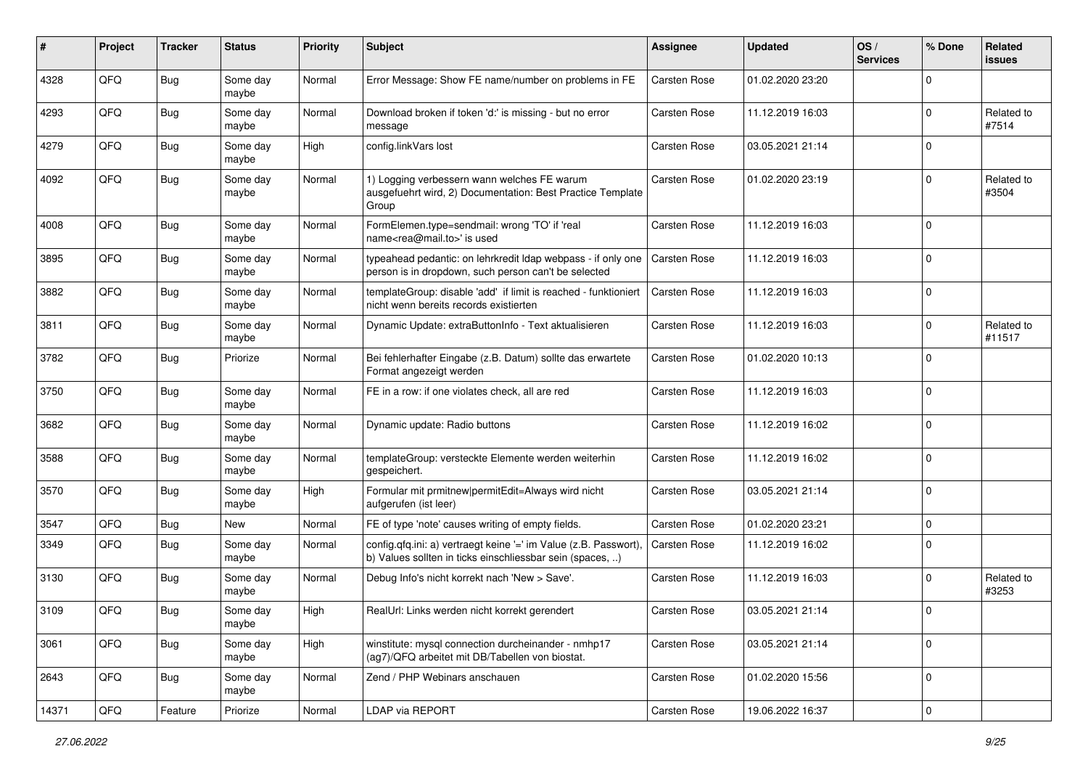| #     | Project | <b>Tracker</b> | <b>Status</b>     | <b>Priority</b> | <b>Subject</b>                                                                                                                | <b>Assignee</b>     | <b>Updated</b>   | OS/<br><b>Services</b> | % Done      | Related<br><b>issues</b> |
|-------|---------|----------------|-------------------|-----------------|-------------------------------------------------------------------------------------------------------------------------------|---------------------|------------------|------------------------|-------------|--------------------------|
| 4328  | QFQ     | <b>Bug</b>     | Some day<br>maybe | Normal          | Error Message: Show FE name/number on problems in FE                                                                          | Carsten Rose        | 01.02.2020 23:20 |                        | $\mathbf 0$ |                          |
| 4293  | QFQ     | Bug            | Some day<br>maybe | Normal          | Download broken if token 'd:' is missing - but no error<br>message                                                            | Carsten Rose        | 11.12.2019 16:03 |                        | $\mathbf 0$ | Related to<br>#7514      |
| 4279  | QFQ     | Bug            | Some day<br>maybe | High            | config.linkVars lost                                                                                                          | Carsten Rose        | 03.05.2021 21:14 |                        | $\mathbf 0$ |                          |
| 4092  | QFQ     | Bug            | Some day<br>maybe | Normal          | 1) Logging verbessern wann welches FE warum<br>ausgefuehrt wird, 2) Documentation: Best Practice Template<br>Group            | Carsten Rose        | 01.02.2020 23:19 |                        | $\pmb{0}$   | Related to<br>#3504      |
| 4008  | QFQ     | Bug            | Some day<br>maybe | Normal          | FormElemen.type=sendmail: wrong 'TO' if 'real<br>name <rea@mail.to>' is used</rea@mail.to>                                    | Carsten Rose        | 11.12.2019 16:03 |                        | $\pmb{0}$   |                          |
| 3895  | QFQ     | <b>Bug</b>     | Some day<br>maybe | Normal          | typeahead pedantic: on lehrkredit ldap webpass - if only one<br>person is in dropdown, such person can't be selected          | Carsten Rose        | 11.12.2019 16:03 |                        | $\mathbf 0$ |                          |
| 3882  | QFQ     | <b>Bug</b>     | Some day<br>maybe | Normal          | templateGroup: disable 'add' if limit is reached - funktioniert<br>nicht wenn bereits records existierten                     | Carsten Rose        | 11.12.2019 16:03 |                        | $\mathbf 0$ |                          |
| 3811  | QFQ     | <b>Bug</b>     | Some day<br>maybe | Normal          | Dynamic Update: extraButtonInfo - Text aktualisieren                                                                          | Carsten Rose        | 11.12.2019 16:03 |                        | $\mathbf 0$ | Related to<br>#11517     |
| 3782  | QFQ     | <b>Bug</b>     | Priorize          | Normal          | Bei fehlerhafter Eingabe (z.B. Datum) sollte das erwartete<br>Format angezeigt werden                                         | Carsten Rose        | 01.02.2020 10:13 |                        | $\mathbf 0$ |                          |
| 3750  | QFQ     | Bug            | Some day<br>maybe | Normal          | FE in a row: if one violates check, all are red                                                                               | Carsten Rose        | 11.12.2019 16:03 |                        | $\pmb{0}$   |                          |
| 3682  | QFQ     | <b>Bug</b>     | Some day<br>maybe | Normal          | Dynamic update: Radio buttons                                                                                                 | Carsten Rose        | 11.12.2019 16:02 |                        | $\mathbf 0$ |                          |
| 3588  | QFQ     | Bug            | Some day<br>maybe | Normal          | templateGroup: versteckte Elemente werden weiterhin<br>gespeichert.                                                           | Carsten Rose        | 11.12.2019 16:02 |                        | $\mathbf 0$ |                          |
| 3570  | QFQ     | <b>Bug</b>     | Some day<br>maybe | High            | Formular mit prmitnew permitEdit=Always wird nicht<br>aufgerufen (ist leer)                                                   | Carsten Rose        | 03.05.2021 21:14 |                        | $\mathbf 0$ |                          |
| 3547  | QFQ     | Bug            | New               | Normal          | FE of type 'note' causes writing of empty fields.                                                                             | Carsten Rose        | 01.02.2020 23:21 |                        | $\pmb{0}$   |                          |
| 3349  | QFQ     | <b>Bug</b>     | Some day<br>maybe | Normal          | config.qfq.ini: a) vertraegt keine '=' im Value (z.B. Passwort),<br>b) Values sollten in ticks einschliessbar sein (spaces, ) | Carsten Rose        | 11.12.2019 16:02 |                        | $\mathbf 0$ |                          |
| 3130  | QFQ     | Bug            | Some day<br>maybe | Normal          | Debug Info's nicht korrekt nach 'New > Save'.                                                                                 | Carsten Rose        | 11.12.2019 16:03 |                        | $\mathbf 0$ | Related to<br>#3253      |
| 3109  | QFQ     | Bug            | Some day<br>maybe | High            | RealUrl: Links werden nicht korrekt gerendert                                                                                 | <b>Carsten Rose</b> | 03.05.2021 21:14 |                        | $\mathbf 0$ |                          |
| 3061  | QFQ     | Bug            | Some day<br>maybe | High            | winstitute: mysql connection durcheinander - nmhp17<br>(ag7)/QFQ arbeitet mit DB/Tabellen von biostat.                        | Carsten Rose        | 03.05.2021 21:14 |                        | $\pmb{0}$   |                          |
| 2643  | QFQ     | <b>Bug</b>     | Some day<br>maybe | Normal          | Zend / PHP Webinars anschauen                                                                                                 | Carsten Rose        | 01.02.2020 15:56 |                        | $\pmb{0}$   |                          |
| 14371 | QFG     | Feature        | Priorize          | Normal          | LDAP via REPORT                                                                                                               | Carsten Rose        | 19.06.2022 16:37 |                        | $\pmb{0}$   |                          |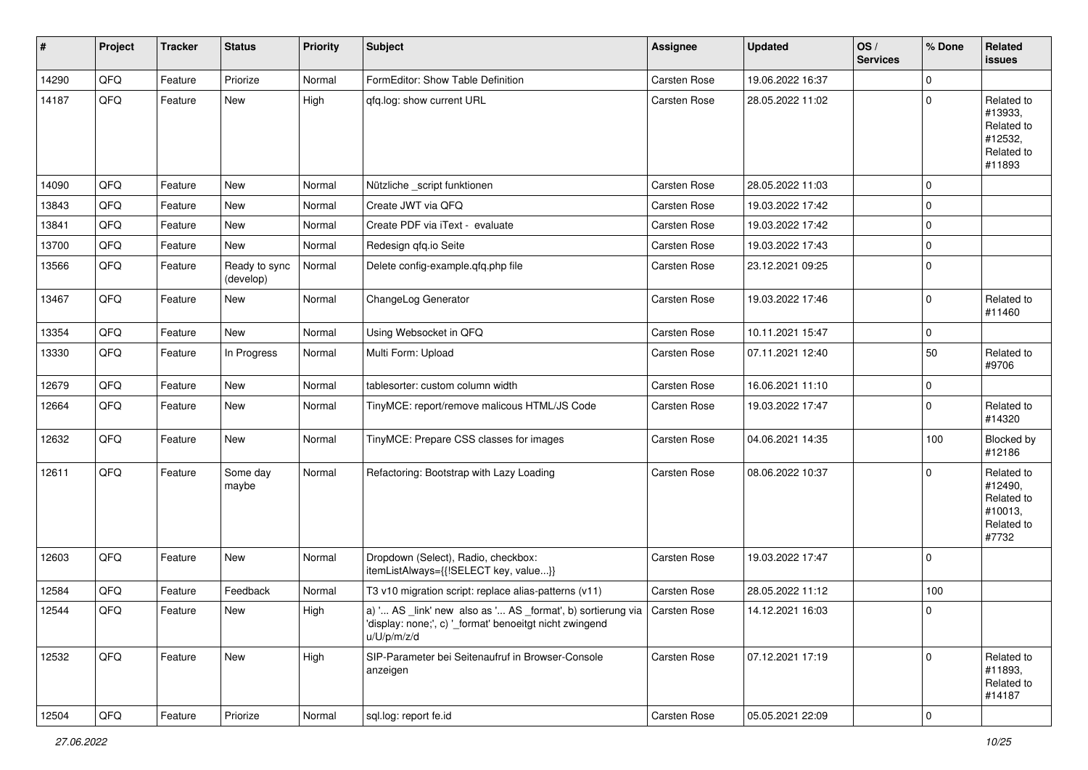| $\vert$ # | Project | <b>Tracker</b> | <b>Status</b>              | <b>Priority</b> | <b>Subject</b>                                                                                                                                     | Assignee     | <b>Updated</b>   | OS/<br><b>Services</b> | % Done      | Related<br><b>issues</b>                                               |
|-----------|---------|----------------|----------------------------|-----------------|----------------------------------------------------------------------------------------------------------------------------------------------------|--------------|------------------|------------------------|-------------|------------------------------------------------------------------------|
| 14290     | QFQ     | Feature        | Priorize                   | Normal          | FormEditor: Show Table Definition                                                                                                                  | Carsten Rose | 19.06.2022 16:37 |                        | $\mathbf 0$ |                                                                        |
| 14187     | QFQ     | Feature        | New                        | High            | gfg.log: show current URL                                                                                                                          | Carsten Rose | 28.05.2022 11:02 |                        | $\pmb{0}$   | Related to<br>#13933,<br>Related to<br>#12532,<br>Related to<br>#11893 |
| 14090     | QFQ     | Feature        | <b>New</b>                 | Normal          | Nützliche _script funktionen                                                                                                                       | Carsten Rose | 28.05.2022 11:03 |                        | $\mathbf 0$ |                                                                        |
| 13843     | QFQ     | Feature        | <b>New</b>                 | Normal          | Create JWT via QFQ                                                                                                                                 | Carsten Rose | 19.03.2022 17:42 |                        | $\pmb{0}$   |                                                                        |
| 13841     | QFQ     | Feature        | New                        | Normal          | Create PDF via iText - evaluate                                                                                                                    | Carsten Rose | 19.03.2022 17:42 |                        | $\pmb{0}$   |                                                                        |
| 13700     | QFQ     | Feature        | New                        | Normal          | Redesign qfq.io Seite                                                                                                                              | Carsten Rose | 19.03.2022 17:43 |                        | $\pmb{0}$   |                                                                        |
| 13566     | QFQ     | Feature        | Ready to sync<br>(develop) | Normal          | Delete config-example.qfq.php file                                                                                                                 | Carsten Rose | 23.12.2021 09:25 |                        | $\pmb{0}$   |                                                                        |
| 13467     | QFQ     | Feature        | New                        | Normal          | ChangeLog Generator                                                                                                                                | Carsten Rose | 19.03.2022 17:46 |                        | $\pmb{0}$   | Related to<br>#11460                                                   |
| 13354     | QFQ     | Feature        | New                        | Normal          | Using Websocket in QFQ                                                                                                                             | Carsten Rose | 10.11.2021 15:47 |                        | 0           |                                                                        |
| 13330     | QFQ     | Feature        | In Progress                | Normal          | Multi Form: Upload                                                                                                                                 | Carsten Rose | 07.11.2021 12:40 |                        | 50          | Related to<br>#9706                                                    |
| 12679     | QFQ     | Feature        | <b>New</b>                 | Normal          | tablesorter: custom column width                                                                                                                   | Carsten Rose | 16.06.2021 11:10 |                        | $\pmb{0}$   |                                                                        |
| 12664     | QFQ     | Feature        | New                        | Normal          | TinyMCE: report/remove malicous HTML/JS Code                                                                                                       | Carsten Rose | 19.03.2022 17:47 |                        | $\pmb{0}$   | Related to<br>#14320                                                   |
| 12632     | QFQ     | Feature        | New                        | Normal          | TinyMCE: Prepare CSS classes for images                                                                                                            | Carsten Rose | 04.06.2021 14:35 |                        | 100         | Blocked by<br>#12186                                                   |
| 12611     | QFQ     | Feature        | Some day<br>maybe          | Normal          | Refactoring: Bootstrap with Lazy Loading                                                                                                           | Carsten Rose | 08.06.2022 10:37 |                        | $\mathbf 0$ | Related to<br>#12490,<br>Related to<br>#10013,<br>Related to<br>#7732  |
| 12603     | QFQ     | Feature        | New                        | Normal          | Dropdown (Select), Radio, checkbox:<br>itemListAlways={{!SELECT key, value}}                                                                       | Carsten Rose | 19.03.2022 17:47 |                        | 0           |                                                                        |
| 12584     | QFQ     | Feature        | Feedback                   | Normal          | T3 v10 migration script: replace alias-patterns (v11)                                                                                              | Carsten Rose | 28.05.2022 11:12 |                        | 100         |                                                                        |
| 12544     | QFQ     | Feature        | New                        | High            | a) ' AS link' new also as ' AS format', b) sortierung via   Carsten Rose<br>'display: none;', c) '_format' benoeitgt nicht zwingend<br>u/U/p/m/z/d |              | 14.12.2021 16:03 |                        | $\mathbf 0$ |                                                                        |
| 12532     | QFQ     | Feature        | New                        | High            | SIP-Parameter bei Seitenaufruf in Browser-Console<br>anzeigen                                                                                      | Carsten Rose | 07.12.2021 17:19 |                        | $\mathbf 0$ | Related to<br>#11893,<br>Related to<br>#14187                          |
| 12504     | QFQ     | Feature        | Priorize                   | Normal          | sql.log: report fe.id                                                                                                                              | Carsten Rose | 05.05.2021 22:09 |                        | $\mathsf 0$ |                                                                        |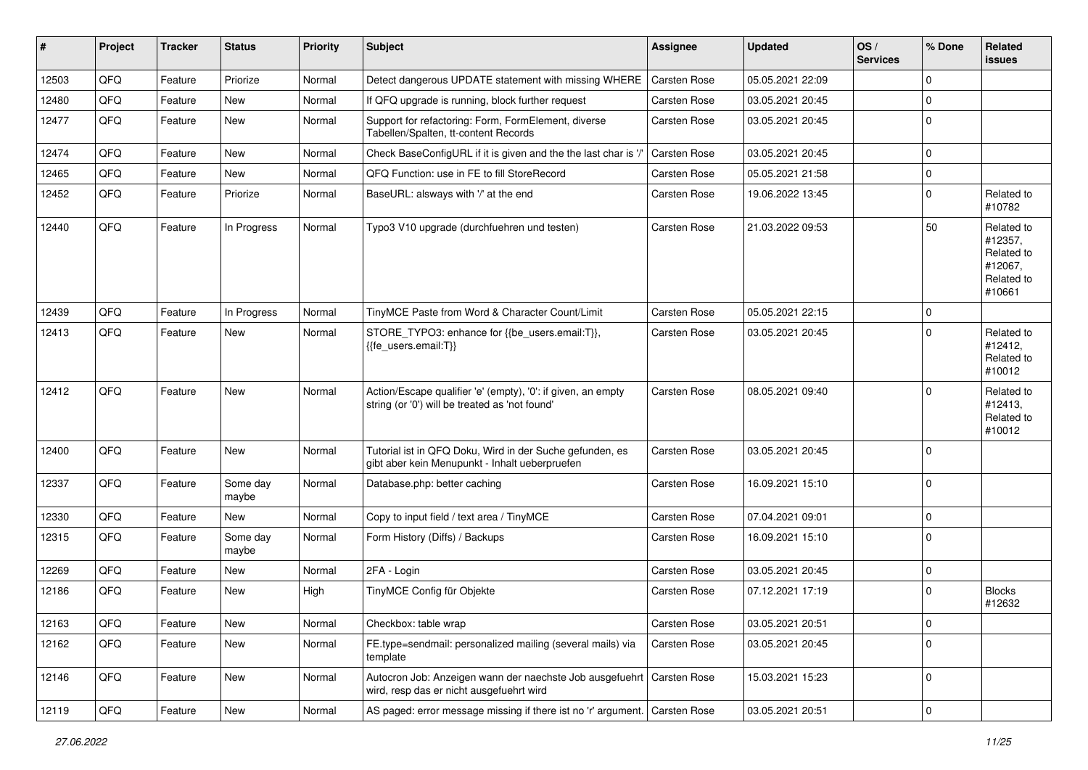| #     | Project | <b>Tracker</b> | <b>Status</b>     | <b>Priority</b> | <b>Subject</b>                                                                                                      | <b>Assignee</b>     | <b>Updated</b>   | OS/<br><b>Services</b> | % Done      | <b>Related</b><br><b>issues</b>                                        |
|-------|---------|----------------|-------------------|-----------------|---------------------------------------------------------------------------------------------------------------------|---------------------|------------------|------------------------|-------------|------------------------------------------------------------------------|
| 12503 | QFQ     | Feature        | Priorize          | Normal          | Detect dangerous UPDATE statement with missing WHERE                                                                | Carsten Rose        | 05.05.2021 22:09 |                        | 0           |                                                                        |
| 12480 | QFQ     | Feature        | New               | Normal          | If QFQ upgrade is running, block further request                                                                    | Carsten Rose        | 03.05.2021 20:45 |                        | $\pmb{0}$   |                                                                        |
| 12477 | QFQ     | Feature        | New               | Normal          | Support for refactoring: Form, FormElement, diverse<br>Tabellen/Spalten, tt-content Records                         | Carsten Rose        | 03.05.2021 20:45 |                        | $\mathbf 0$ |                                                                        |
| 12474 | QFQ     | Feature        | <b>New</b>        | Normal          | Check BaseConfigURL if it is given and the the last char is '/'                                                     | Carsten Rose        | 03.05.2021 20:45 |                        | 0           |                                                                        |
| 12465 | QFQ     | Feature        | New               | Normal          | QFQ Function: use in FE to fill StoreRecord                                                                         | Carsten Rose        | 05.05.2021 21:58 |                        | $\pmb{0}$   |                                                                        |
| 12452 | QFQ     | Feature        | Priorize          | Normal          | BaseURL: alsways with '/' at the end                                                                                | Carsten Rose        | 19.06.2022 13:45 |                        | $\mathbf 0$ | Related to<br>#10782                                                   |
| 12440 | QFQ     | Feature        | In Progress       | Normal          | Typo3 V10 upgrade (durchfuehren und testen)                                                                         | Carsten Rose        | 21.03.2022 09:53 |                        | 50          | Related to<br>#12357,<br>Related to<br>#12067.<br>Related to<br>#10661 |
| 12439 | QFQ     | Feature        | In Progress       | Normal          | TinyMCE Paste from Word & Character Count/Limit                                                                     | Carsten Rose        | 05.05.2021 22:15 |                        | $\mathbf 0$ |                                                                        |
| 12413 | QFQ     | Feature        | New               | Normal          | STORE_TYPO3: enhance for {{be_users.email:T}},<br>{{fe users.email:T}}                                              | <b>Carsten Rose</b> | 03.05.2021 20:45 |                        | $\Omega$    | Related to<br>#12412,<br>Related to<br>#10012                          |
| 12412 | QFQ     | Feature        | New               | Normal          | Action/Escape qualifier 'e' (empty), '0': if given, an empty<br>string (or '0') will be treated as 'not found'      | <b>Carsten Rose</b> | 08.05.2021 09:40 |                        | $\Omega$    | Related to<br>#12413,<br>Related to<br>#10012                          |
| 12400 | QFQ     | Feature        | <b>New</b>        | Normal          | Tutorial ist in QFQ Doku, Wird in der Suche gefunden, es<br>gibt aber kein Menupunkt - Inhalt ueberpruefen          | Carsten Rose        | 03.05.2021 20:45 |                        | $\mathbf 0$ |                                                                        |
| 12337 | QFQ     | Feature        | Some day<br>maybe | Normal          | Database.php: better caching                                                                                        | Carsten Rose        | 16.09.2021 15:10 |                        | $\pmb{0}$   |                                                                        |
| 12330 | QFQ     | Feature        | New               | Normal          | Copy to input field / text area / TinyMCE                                                                           | Carsten Rose        | 07.04.2021 09:01 |                        | 0           |                                                                        |
| 12315 | QFQ     | Feature        | Some day<br>maybe | Normal          | Form History (Diffs) / Backups                                                                                      | Carsten Rose        | 16.09.2021 15:10 |                        | $\mathbf 0$ |                                                                        |
| 12269 | QFQ     | Feature        | New               | Normal          | 2FA - Login                                                                                                         | Carsten Rose        | 03.05.2021 20:45 |                        | $\pmb{0}$   |                                                                        |
| 12186 | QFQ     | Feature        | New               | High            | TinyMCE Config für Objekte                                                                                          | <b>Carsten Rose</b> | 07.12.2021 17:19 |                        | $\mathbf 0$ | <b>Blocks</b><br>#12632                                                |
| 12163 | QFG     | Feature        | New               | Normal          | Checkbox: table wrap                                                                                                | Carsten Rose        | 03.05.2021 20:51 |                        | 0           |                                                                        |
| 12162 | QFQ     | Feature        | New               | Normal          | FE.type=sendmail: personalized mailing (several mails) via<br>template                                              | Carsten Rose        | 03.05.2021 20:45 |                        | $\Omega$    |                                                                        |
| 12146 | QFQ     | Feature        | New               | Normal          | Autocron Job: Anzeigen wann der naechste Job ausgefuehrt   Carsten Rose<br>wird, resp das er nicht ausgefuehrt wird |                     | 15.03.2021 15:23 |                        | $\mathbf 0$ |                                                                        |
| 12119 | QFQ     | Feature        | New               | Normal          | AS paged: error message missing if there ist no 'r' argument.   Carsten Rose                                        |                     | 03.05.2021 20:51 |                        | $\mathsf 0$ |                                                                        |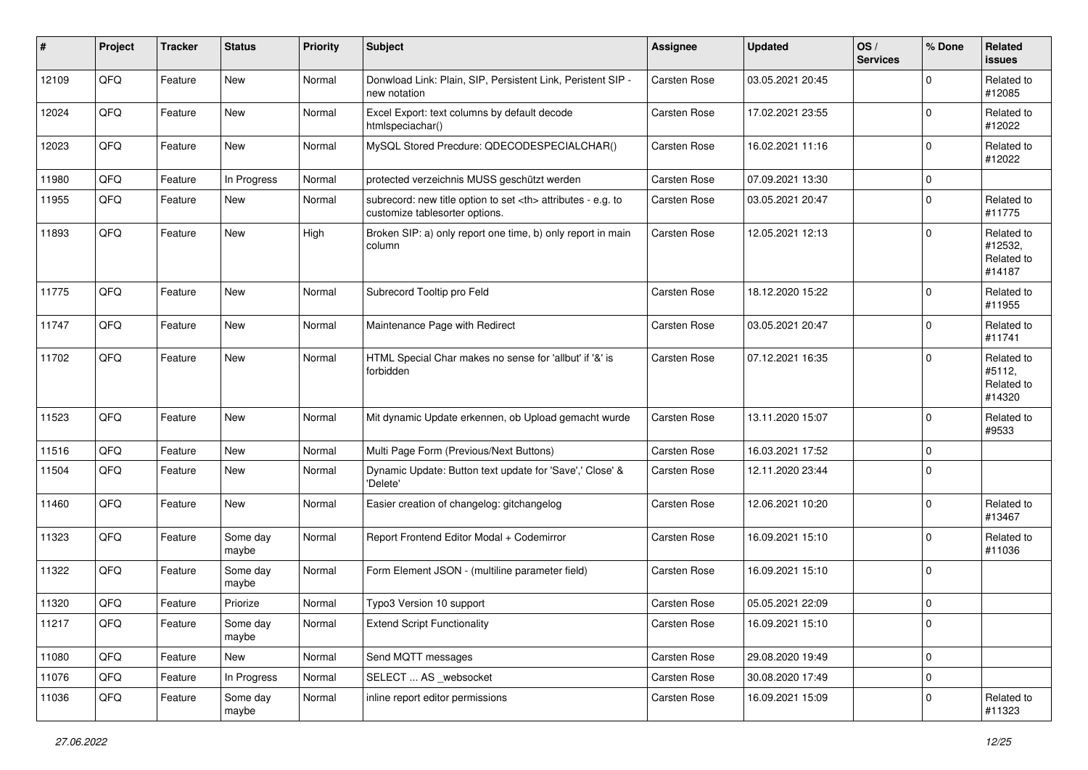| #     | Project | <b>Tracker</b> | <b>Status</b>     | <b>Priority</b> | <b>Subject</b>                                                                                       | <b>Assignee</b>                                        | <b>Updated</b>   | OS/<br><b>Services</b> | % Done      | Related<br>issues                             |                      |
|-------|---------|----------------|-------------------|-----------------|------------------------------------------------------------------------------------------------------|--------------------------------------------------------|------------------|------------------------|-------------|-----------------------------------------------|----------------------|
| 12109 | QFQ     | Feature        | New               | Normal          | Donwload Link: Plain, SIP, Persistent Link, Peristent SIP -<br>new notation                          | Carsten Rose                                           | 03.05.2021 20:45 |                        | $\mathbf 0$ | Related to<br>#12085                          |                      |
| 12024 | QFQ     | Feature        | New               | Normal          | Excel Export: text columns by default decode<br>htmlspeciachar()                                     | Carsten Rose                                           | 17.02.2021 23:55 |                        | $\mathbf 0$ | Related to<br>#12022                          |                      |
| 12023 | QFQ     | Feature        | New               | Normal          | MySQL Stored Precdure: QDECODESPECIALCHAR()                                                          | Carsten Rose                                           | 16.02.2021 11:16 |                        | $\pmb{0}$   | Related to<br>#12022                          |                      |
| 11980 | QFQ     | Feature        | In Progress       | Normal          | protected verzeichnis MUSS geschützt werden                                                          | Carsten Rose                                           | 07.09.2021 13:30 |                        | $\mathbf 0$ |                                               |                      |
| 11955 | QFQ     | Feature        | New               | Normal          | subrecord: new title option to set <th> attributes - e.g. to<br/>customize tablesorter options.</th> | attributes - e.g. to<br>customize tablesorter options. | Carsten Rose     | 03.05.2021 20:47       |             | $\mathbf 0$                                   | Related to<br>#11775 |
| 11893 | QFQ     | Feature        | New               | High            | Broken SIP: a) only report one time, b) only report in main<br>column                                | Carsten Rose                                           | 12.05.2021 12:13 |                        | $\mathbf 0$ | Related to<br>#12532,<br>Related to<br>#14187 |                      |
| 11775 | QFQ     | Feature        | <b>New</b>        | Normal          | Subrecord Tooltip pro Feld                                                                           | Carsten Rose                                           | 18.12.2020 15:22 |                        | $\mathbf 0$ | Related to<br>#11955                          |                      |
| 11747 | QFQ     | Feature        | New               | Normal          | Maintenance Page with Redirect                                                                       | Carsten Rose                                           | 03.05.2021 20:47 |                        | $\pmb{0}$   | Related to<br>#11741                          |                      |
| 11702 | QFQ     | Feature        | New               | Normal          | HTML Special Char makes no sense for 'allbut' if '&' is<br>forbidden                                 | Carsten Rose                                           | 07.12.2021 16:35 |                        | $\mathbf 0$ | Related to<br>#5112.<br>Related to<br>#14320  |                      |
| 11523 | QFQ     | Feature        | New               | Normal          | Mit dynamic Update erkennen, ob Upload gemacht wurde                                                 | Carsten Rose                                           | 13.11.2020 15:07 |                        | $\mathbf 0$ | Related to<br>#9533                           |                      |
| 11516 | QFQ     | Feature        | New               | Normal          | Multi Page Form (Previous/Next Buttons)                                                              | Carsten Rose                                           | 16.03.2021 17:52 |                        | $\mathbf 0$ |                                               |                      |
| 11504 | QFQ     | Feature        | New               | Normal          | Dynamic Update: Button text update for 'Save',' Close' &<br>'Delete'                                 | <b>Carsten Rose</b>                                    | 12.11.2020 23:44 |                        | $\mathbf 0$ |                                               |                      |
| 11460 | QFQ     | Feature        | New               | Normal          | Easier creation of changelog: gitchangelog                                                           | Carsten Rose                                           | 12.06.2021 10:20 |                        | $\mathbf 0$ | Related to<br>#13467                          |                      |
| 11323 | QFQ     | Feature        | Some day<br>maybe | Normal          | Report Frontend Editor Modal + Codemirror                                                            | Carsten Rose                                           | 16.09.2021 15:10 |                        | $\mathbf 0$ | Related to<br>#11036                          |                      |
| 11322 | QFQ     | Feature        | Some day<br>maybe | Normal          | Form Element JSON - (multiline parameter field)                                                      | Carsten Rose                                           | 16.09.2021 15:10 |                        | $\pmb{0}$   |                                               |                      |
| 11320 | QFQ     | Feature        | Priorize          | Normal          | Typo3 Version 10 support                                                                             | Carsten Rose                                           | 05.05.2021 22:09 |                        | $\mathbf 0$ |                                               |                      |
| 11217 | QFG     | Feature        | Some day<br>maybe | Normal          | <b>Extend Script Functionality</b>                                                                   | Carsten Rose                                           | 16.09.2021 15:10 |                        | 0           |                                               |                      |
| 11080 | QFQ     | Feature        | New               | Normal          | Send MQTT messages                                                                                   | Carsten Rose                                           | 29.08.2020 19:49 |                        | $\pmb{0}$   |                                               |                      |
| 11076 | QFQ     | Feature        | In Progress       | Normal          | SELECT  AS_websocket                                                                                 | Carsten Rose                                           | 30.08.2020 17:49 |                        | $\mathsf 0$ |                                               |                      |
| 11036 | QFQ     | Feature        | Some day<br>maybe | Normal          | inline report editor permissions                                                                     | Carsten Rose                                           | 16.09.2021 15:09 |                        | 0           | Related to<br>#11323                          |                      |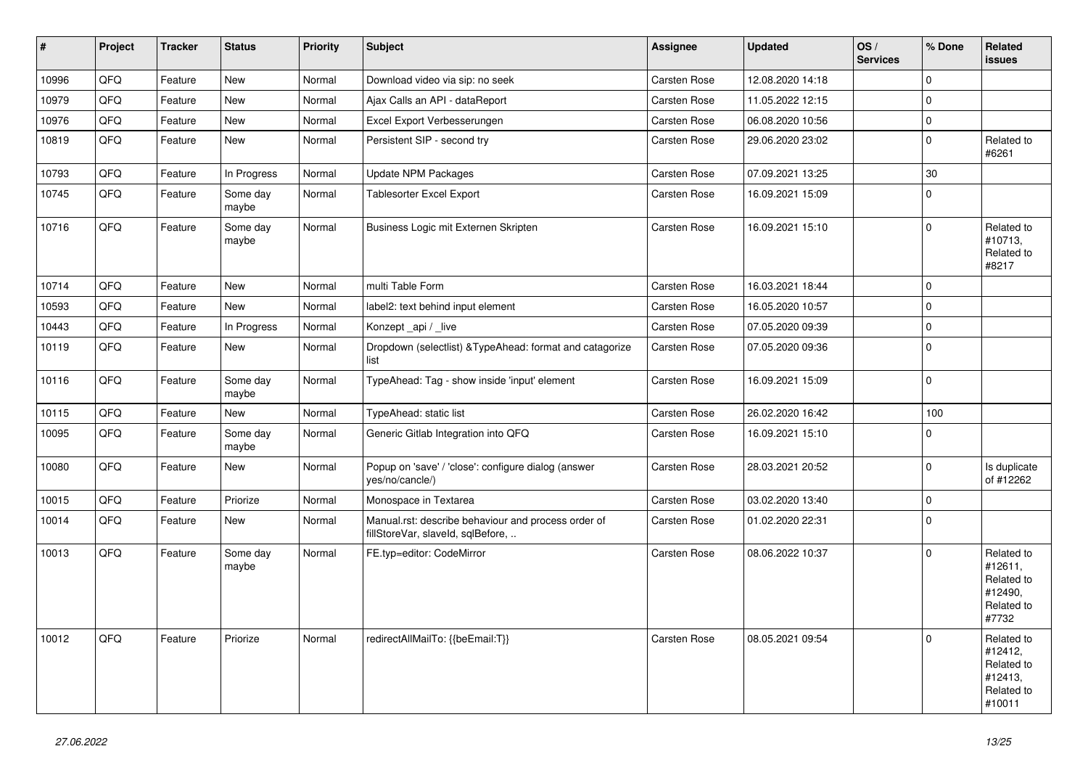| #     | Project | <b>Tracker</b> | <b>Status</b>     | <b>Priority</b> | <b>Subject</b>                                                                           | <b>Assignee</b> | <b>Updated</b>   | OS/<br><b>Services</b> | % Done      | Related<br><b>issues</b>                                               |
|-------|---------|----------------|-------------------|-----------------|------------------------------------------------------------------------------------------|-----------------|------------------|------------------------|-------------|------------------------------------------------------------------------|
| 10996 | QFQ     | Feature        | New               | Normal          | Download video via sip: no seek                                                          | Carsten Rose    | 12.08.2020 14:18 |                        | $\mathbf 0$ |                                                                        |
| 10979 | QFQ     | Feature        | <b>New</b>        | Normal          | Ajax Calls an API - dataReport                                                           | Carsten Rose    | 11.05.2022 12:15 |                        | $\mathbf 0$ |                                                                        |
| 10976 | QFQ     | Feature        | New               | Normal          | Excel Export Verbesserungen                                                              | Carsten Rose    | 06.08.2020 10:56 |                        | $\pmb{0}$   |                                                                        |
| 10819 | QFQ     | Feature        | New               | Normal          | Persistent SIP - second try                                                              | Carsten Rose    | 29.06.2020 23:02 |                        | $\mathbf 0$ | Related to<br>#6261                                                    |
| 10793 | QFQ     | Feature        | In Progress       | Normal          | Update NPM Packages                                                                      | Carsten Rose    | 07.09.2021 13:25 |                        | $30\,$      |                                                                        |
| 10745 | QFQ     | Feature        | Some day<br>maybe | Normal          | <b>Tablesorter Excel Export</b>                                                          | Carsten Rose    | 16.09.2021 15:09 |                        | $\mathbf 0$ |                                                                        |
| 10716 | QFQ     | Feature        | Some day<br>maybe | Normal          | Business Logic mit Externen Skripten                                                     | Carsten Rose    | 16.09.2021 15:10 |                        | $\mathbf 0$ | Related to<br>#10713,<br>Related to<br>#8217                           |
| 10714 | QFQ     | Feature        | <b>New</b>        | Normal          | multi Table Form                                                                         | Carsten Rose    | 16.03.2021 18:44 |                        | $\mathbf 0$ |                                                                        |
| 10593 | QFQ     | Feature        | New               | Normal          | label2: text behind input element                                                        | Carsten Rose    | 16.05.2020 10:57 |                        | $\mathbf 0$ |                                                                        |
| 10443 | QFQ     | Feature        | In Progress       | Normal          | Konzept api / live                                                                       | Carsten Rose    | 07.05.2020 09:39 |                        | $\mathbf 0$ |                                                                        |
| 10119 | QFQ     | Feature        | New               | Normal          | Dropdown (selectlist) & Type Ahead: format and catagorize<br>list                        | Carsten Rose    | 07.05.2020 09:36 |                        | $\mathbf 0$ |                                                                        |
| 10116 | QFQ     | Feature        | Some day<br>maybe | Normal          | TypeAhead: Tag - show inside 'input' element                                             | Carsten Rose    | 16.09.2021 15:09 |                        | $\mathbf 0$ |                                                                        |
| 10115 | QFQ     | Feature        | New               | Normal          | TypeAhead: static list                                                                   | Carsten Rose    | 26.02.2020 16:42 |                        | 100         |                                                                        |
| 10095 | QFQ     | Feature        | Some day<br>maybe | Normal          | Generic Gitlab Integration into QFQ                                                      | Carsten Rose    | 16.09.2021 15:10 |                        | $\Omega$    |                                                                        |
| 10080 | QFQ     | Feature        | New               | Normal          | Popup on 'save' / 'close': configure dialog (answer<br>yes/no/cancle/)                   | Carsten Rose    | 28.03.2021 20:52 |                        | $\mathbf 0$ | Is duplicate<br>of #12262                                              |
| 10015 | QFQ     | Feature        | Priorize          | Normal          | Monospace in Textarea                                                                    | Carsten Rose    | 03.02.2020 13:40 |                        | $\pmb{0}$   |                                                                        |
| 10014 | QFQ     | Feature        | New               | Normal          | Manual.rst: describe behaviour and process order of<br>fillStoreVar, slaveId, sqlBefore, | Carsten Rose    | 01.02.2020 22:31 |                        | $\mathbf 0$ |                                                                        |
| 10013 | QFQ     | Feature        | Some day<br>maybe | Normal          | FE.typ=editor: CodeMirror                                                                | Carsten Rose    | 08.06.2022 10:37 |                        | $\Omega$    | Related to<br>#12611,<br>Related to<br>#12490,<br>Related to<br>#7732  |
| 10012 | QFQ     | Feature        | Priorize          | Normal          | redirectAllMailTo: {{beEmail:T}}                                                         | Carsten Rose    | 08.05.2021 09:54 |                        | $\Omega$    | Related to<br>#12412,<br>Related to<br>#12413,<br>Related to<br>#10011 |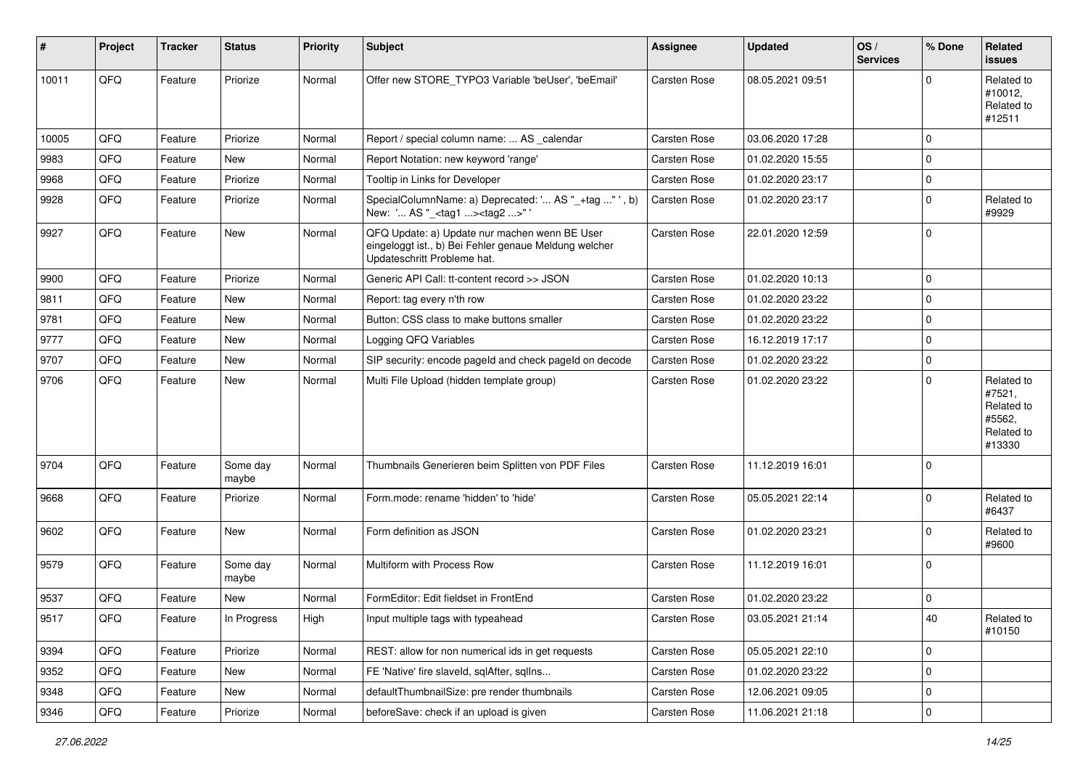| #     | Project | <b>Tracker</b> | <b>Status</b>     | <b>Priority</b> | Subject                                                                                                                               | <b>Assignee</b>     | <b>Updated</b>   | OS/<br><b>Services</b> | % Done      | Related<br><b>issues</b>                                             |
|-------|---------|----------------|-------------------|-----------------|---------------------------------------------------------------------------------------------------------------------------------------|---------------------|------------------|------------------------|-------------|----------------------------------------------------------------------|
| 10011 | QFQ     | Feature        | Priorize          | Normal          | Offer new STORE TYPO3 Variable 'beUser', 'beEmail'                                                                                    | Carsten Rose        | 08.05.2021 09:51 |                        | $\Omega$    | Related to<br>#10012,<br>Related to<br>#12511                        |
| 10005 | QFQ     | Feature        | Priorize          | Normal          | Report / special column name:  AS _calendar                                                                                           | Carsten Rose        | 03.06.2020 17:28 |                        | $\mathbf 0$ |                                                                      |
| 9983  | QFQ     | Feature        | New               | Normal          | Report Notation: new keyword 'range'                                                                                                  | <b>Carsten Rose</b> | 01.02.2020 15:55 |                        | $\Omega$    |                                                                      |
| 9968  | QFQ     | Feature        | Priorize          | Normal          | Tooltip in Links for Developer                                                                                                        | Carsten Rose        | 01.02.2020 23:17 |                        | 0           |                                                                      |
| 9928  | QFQ     | Feature        | Priorize          | Normal          | SpecialColumnName: a) Deprecated: ' AS "_+tag " ', b)<br>New: ' AS "_ <tag1><tag2>"</tag2></tag1>                                     | Carsten Rose        | 01.02.2020 23:17 |                        | $\Omega$    | Related to<br>#9929                                                  |
| 9927  | QFQ     | Feature        | <b>New</b>        | Normal          | QFQ Update: a) Update nur machen wenn BE User<br>eingeloggt ist., b) Bei Fehler genaue Meldung welcher<br>Updateschritt Probleme hat. | Carsten Rose        | 22.01.2020 12:59 |                        | $\mathbf 0$ |                                                                      |
| 9900  | QFQ     | Feature        | Priorize          | Normal          | Generic API Call: tt-content record >> JSON                                                                                           | Carsten Rose        | 01.02.2020 10:13 |                        | $\mathbf 0$ |                                                                      |
| 9811  | QFQ     | Feature        | New               | Normal          | Report: tag every n'th row                                                                                                            | Carsten Rose        | 01.02.2020 23:22 |                        | $\Omega$    |                                                                      |
| 9781  | QFQ     | Feature        | <b>New</b>        | Normal          | Button: CSS class to make buttons smaller                                                                                             | Carsten Rose        | 01.02.2020 23:22 |                        | $\mathbf 0$ |                                                                      |
| 9777  | QFQ     | Feature        | New               | Normal          | Logging QFQ Variables                                                                                                                 | Carsten Rose        | 16.12.2019 17:17 |                        | $\mathbf 0$ |                                                                      |
| 9707  | QFQ     | Feature        | New               | Normal          | SIP security: encode pageld and check pageld on decode                                                                                | <b>Carsten Rose</b> | 01.02.2020 23:22 |                        | $\mathbf 0$ |                                                                      |
| 9706  | QFQ     | Feature        | New               | Normal          | Multi File Upload (hidden template group)                                                                                             | Carsten Rose        | 01.02.2020 23:22 |                        | $\Omega$    | Related to<br>#7521,<br>Related to<br>#5562,<br>Related to<br>#13330 |
| 9704  | QFQ     | Feature        | Some day<br>maybe | Normal          | Thumbnails Generieren beim Splitten von PDF Files                                                                                     | <b>Carsten Rose</b> | 11.12.2019 16:01 |                        | $\Omega$    |                                                                      |
| 9668  | QFQ     | Feature        | Priorize          | Normal          | Form.mode: rename 'hidden' to 'hide'                                                                                                  | <b>Carsten Rose</b> | 05.05.2021 22:14 |                        | $\Omega$    | Related to<br>#6437                                                  |
| 9602  | QFQ     | Feature        | New               | Normal          | Form definition as JSON                                                                                                               | Carsten Rose        | 01.02.2020 23:21 |                        | $\mathbf 0$ | Related to<br>#9600                                                  |
| 9579  | QFQ     | Feature        | Some day<br>maybe | Normal          | Multiform with Process Row                                                                                                            | Carsten Rose        | 11.12.2019 16:01 |                        | $\Omega$    |                                                                      |
| 9537  | QFQ     | Feature        | New               | Normal          | FormEditor: Edit fieldset in FrontEnd                                                                                                 | Carsten Rose        | 01.02.2020 23:22 |                        | $\mathbf 0$ |                                                                      |
| 9517  | QFQ     | Feature        | In Progress       | High            | Input multiple tags with typeahead                                                                                                    | Carsten Rose        | 03.05.2021 21:14 |                        | 40          | Related to<br>#10150                                                 |
| 9394  | QFQ     | Feature        | Priorize          | Normal          | REST: allow for non numerical ids in get requests                                                                                     | Carsten Rose        | 05.05.2021 22:10 |                        | $\mathbf 0$ |                                                                      |
| 9352  | QFQ     | Feature        | New               | Normal          | FE 'Native' fire slaveld, sqlAfter, sqlIns                                                                                            | Carsten Rose        | 01.02.2020 23:22 |                        | $\pmb{0}$   |                                                                      |
| 9348  | QFQ     | Feature        | New               | Normal          | defaultThumbnailSize: pre render thumbnails                                                                                           | Carsten Rose        | 12.06.2021 09:05 |                        | 0           |                                                                      |
| 9346  | QFQ     | Feature        | Priorize          | Normal          | beforeSave: check if an upload is given                                                                                               | Carsten Rose        | 11.06.2021 21:18 |                        | $\pmb{0}$   |                                                                      |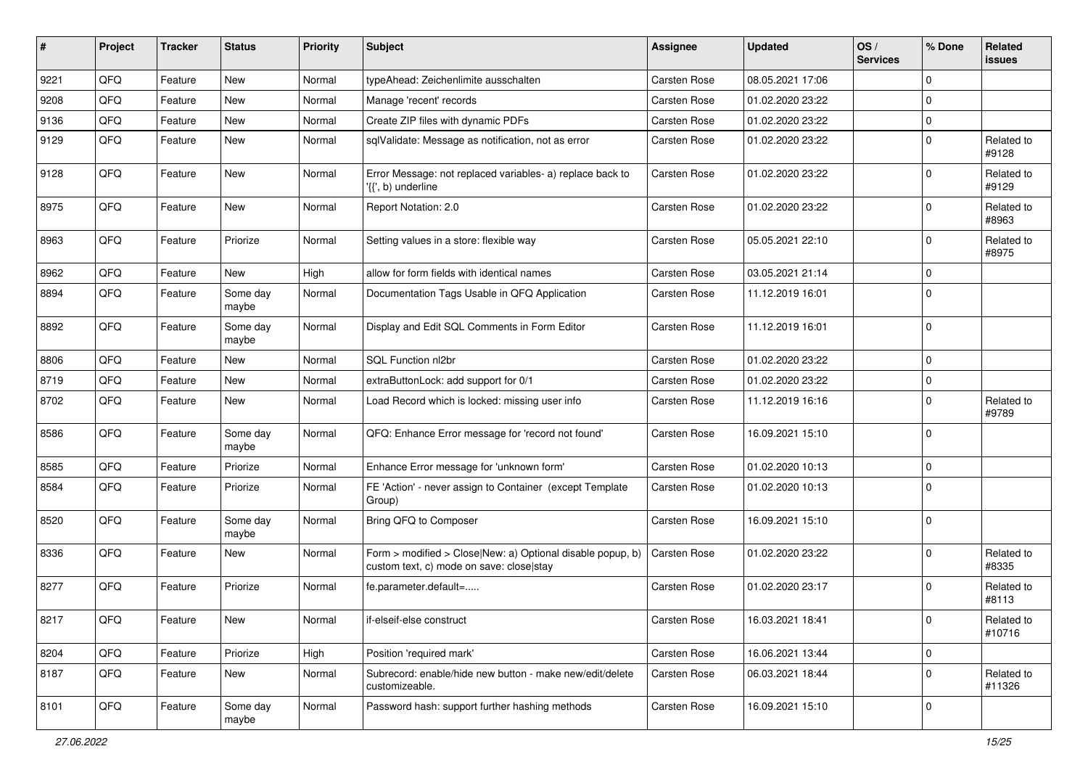| ∦    | Project | <b>Tracker</b> | <b>Status</b>     | <b>Priority</b> | <b>Subject</b>                                                                                         | <b>Assignee</b>     | <b>Updated</b>   | OS/<br><b>Services</b> | % Done      | Related<br><b>issues</b> |
|------|---------|----------------|-------------------|-----------------|--------------------------------------------------------------------------------------------------------|---------------------|------------------|------------------------|-------------|--------------------------|
| 9221 | QFQ     | Feature        | <b>New</b>        | Normal          | typeAhead: Zeichenlimite ausschalten                                                                   | <b>Carsten Rose</b> | 08.05.2021 17:06 |                        | $\mathbf 0$ |                          |
| 9208 | QFQ     | Feature        | New               | Normal          | Manage 'recent' records                                                                                | Carsten Rose        | 01.02.2020 23:22 |                        | $\mathbf 0$ |                          |
| 9136 | QFQ     | Feature        | <b>New</b>        | Normal          | Create ZIP files with dynamic PDFs                                                                     | Carsten Rose        | 01.02.2020 23:22 |                        | $\mathbf 0$ |                          |
| 9129 | QFQ     | Feature        | <b>New</b>        | Normal          | sqlValidate: Message as notification, not as error                                                     | <b>Carsten Rose</b> | 01.02.2020 23:22 |                        | $\mathbf 0$ | Related to<br>#9128      |
| 9128 | QFQ     | Feature        | <b>New</b>        | Normal          | Error Message: not replaced variables- a) replace back to<br>'{{', b) underline                        | <b>Carsten Rose</b> | 01.02.2020 23:22 |                        | $\Omega$    | Related to<br>#9129      |
| 8975 | QFQ     | Feature        | <b>New</b>        | Normal          | Report Notation: 2.0                                                                                   | Carsten Rose        | 01.02.2020 23:22 |                        | $\Omega$    | Related to<br>#8963      |
| 8963 | QFQ     | Feature        | Priorize          | Normal          | Setting values in a store: flexible way                                                                | Carsten Rose        | 05.05.2021 22:10 |                        | $\mathbf 0$ | Related to<br>#8975      |
| 8962 | QFQ     | Feature        | <b>New</b>        | High            | allow for form fields with identical names                                                             | Carsten Rose        | 03.05.2021 21:14 |                        | $\mathbf 0$ |                          |
| 8894 | QFQ     | Feature        | Some day<br>maybe | Normal          | Documentation Tags Usable in QFQ Application                                                           | Carsten Rose        | 11.12.2019 16:01 |                        | $\Omega$    |                          |
| 8892 | QFQ     | Feature        | Some day<br>maybe | Normal          | Display and Edit SQL Comments in Form Editor                                                           | Carsten Rose        | 11.12.2019 16:01 |                        | $\mathbf 0$ |                          |
| 8806 | QFQ     | Feature        | <b>New</b>        | Normal          | SQL Function nl2br                                                                                     | Carsten Rose        | 01.02.2020 23:22 |                        | $\mathbf 0$ |                          |
| 8719 | QFQ     | Feature        | New               | Normal          | extraButtonLock: add support for 0/1                                                                   | Carsten Rose        | 01.02.2020 23:22 |                        | $\pmb{0}$   |                          |
| 8702 | QFQ     | Feature        | <b>New</b>        | Normal          | Load Record which is locked: missing user info                                                         | <b>Carsten Rose</b> | 11.12.2019 16:16 |                        | $\mathbf 0$ | Related to<br>#9789      |
| 8586 | QFQ     | Feature        | Some day<br>maybe | Normal          | QFQ: Enhance Error message for 'record not found'                                                      | Carsten Rose        | 16.09.2021 15:10 |                        | $\mathbf 0$ |                          |
| 8585 | QFQ     | Feature        | Priorize          | Normal          | Enhance Error message for 'unknown form'                                                               | <b>Carsten Rose</b> | 01.02.2020 10:13 |                        | $\mathbf 0$ |                          |
| 8584 | QFQ     | Feature        | Priorize          | Normal          | FE 'Action' - never assign to Container (except Template<br>Group)                                     | Carsten Rose        | 01.02.2020 10:13 |                        | $\Omega$    |                          |
| 8520 | QFQ     | Feature        | Some day<br>maybe | Normal          | Bring QFQ to Composer                                                                                  | Carsten Rose        | 16.09.2021 15:10 |                        | $\Omega$    |                          |
| 8336 | QFQ     | Feature        | <b>New</b>        | Normal          | Form > modified > Close New: a) Optional disable popup, b)<br>custom text, c) mode on save: close stay | <b>Carsten Rose</b> | 01.02.2020 23:22 |                        | $\Omega$    | Related to<br>#8335      |
| 8277 | QFQ     | Feature        | Priorize          | Normal          | fe.parameter.default=                                                                                  | Carsten Rose        | 01.02.2020 23:17 |                        | $\Omega$    | Related to<br>#8113      |
| 8217 | QFQ     | Feature        | New               | Normal          | if-elseif-else construct                                                                               | Carsten Rose        | 16.03.2021 18:41 |                        | 0           | Related to<br>#10716     |
| 8204 | QFQ     | Feature        | Priorize          | High            | Position 'required mark'                                                                               | Carsten Rose        | 16.06.2021 13:44 |                        | $\mathbf 0$ |                          |
| 8187 | QFQ     | Feature        | New               | Normal          | Subrecord: enable/hide new button - make new/edit/delete<br>customizeable.                             | Carsten Rose        | 06.03.2021 18:44 |                        | $\mathbf 0$ | Related to<br>#11326     |
| 8101 | QFG     | Feature        | Some day<br>maybe | Normal          | Password hash: support further hashing methods                                                         | Carsten Rose        | 16.09.2021 15:10 |                        | $\mathbf 0$ |                          |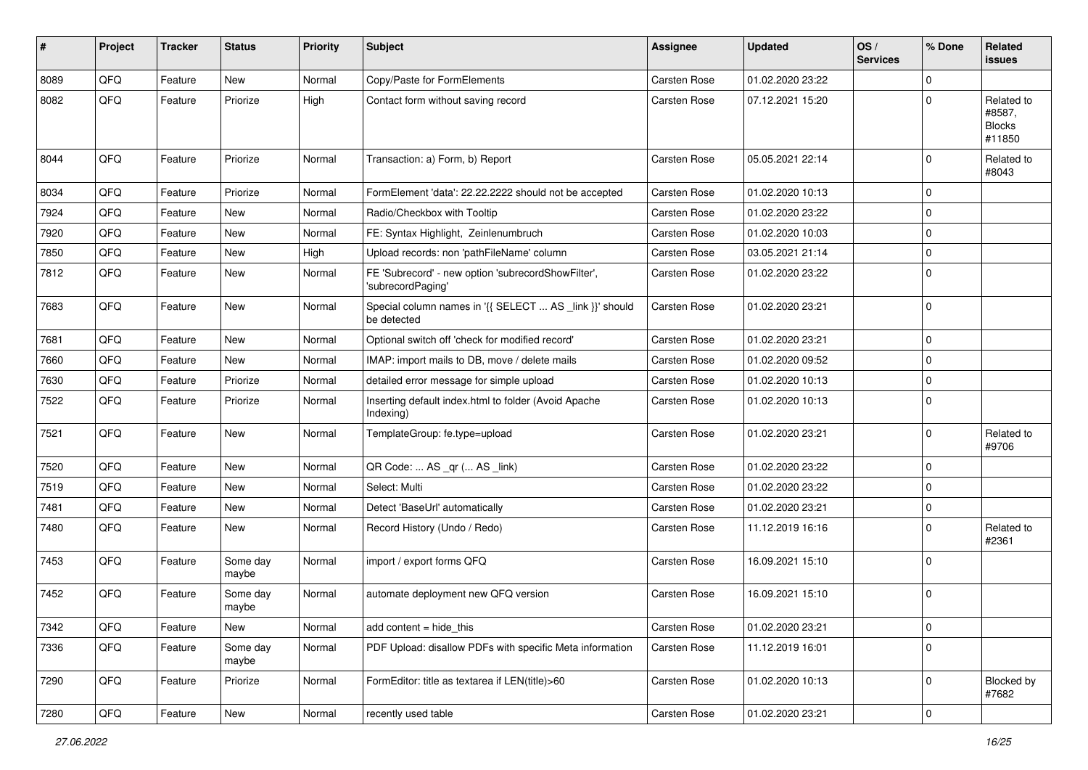| #    | Project | <b>Tracker</b> | <b>Status</b>     | <b>Priority</b> | <b>Subject</b>                                                          | <b>Assignee</b>     | <b>Updated</b>   | OS/<br><b>Services</b> | % Done      | Related<br><b>issues</b>                        |
|------|---------|----------------|-------------------|-----------------|-------------------------------------------------------------------------|---------------------|------------------|------------------------|-------------|-------------------------------------------------|
| 8089 | QFQ     | Feature        | <b>New</b>        | Normal          | Copy/Paste for FormElements                                             | <b>Carsten Rose</b> | 01.02.2020 23:22 |                        | $\Omega$    |                                                 |
| 8082 | QFQ     | Feature        | Priorize          | High            | Contact form without saving record                                      | Carsten Rose        | 07.12.2021 15:20 |                        | $\Omega$    | Related to<br>#8587,<br><b>Blocks</b><br>#11850 |
| 8044 | QFQ     | Feature        | Priorize          | Normal          | Transaction: a) Form, b) Report                                         | <b>Carsten Rose</b> | 05.05.2021 22:14 |                        | $\mathbf 0$ | Related to<br>#8043                             |
| 8034 | QFQ     | Feature        | Priorize          | Normal          | FormElement 'data': 22.22.2222 should not be accepted                   | <b>Carsten Rose</b> | 01.02.2020 10:13 |                        | $\mathbf 0$ |                                                 |
| 7924 | QFQ     | Feature        | <b>New</b>        | Normal          | Radio/Checkbox with Tooltip                                             | Carsten Rose        | 01.02.2020 23:22 |                        | $\mathbf 0$ |                                                 |
| 7920 | QFQ     | Feature        | New               | Normal          | FE: Syntax Highlight, Zeinlenumbruch                                    | Carsten Rose        | 01.02.2020 10:03 |                        | $\mathbf 0$ |                                                 |
| 7850 | QFQ     | Feature        | <b>New</b>        | High            | Upload records: non 'pathFileName' column                               | Carsten Rose        | 03.05.2021 21:14 |                        | $\mathbf 0$ |                                                 |
| 7812 | QFQ     | Feature        | <b>New</b>        | Normal          | FE 'Subrecord' - new option 'subrecordShowFilter',<br>'subrecordPaging' | Carsten Rose        | 01.02.2020 23:22 |                        | $\Omega$    |                                                 |
| 7683 | QFQ     | Feature        | <b>New</b>        | Normal          | Special column names in '{{ SELECT  AS _link }}' should<br>be detected  | Carsten Rose        | 01.02.2020 23:21 |                        | $\mathbf 0$ |                                                 |
| 7681 | QFQ     | Feature        | New               | Normal          | Optional switch off 'check for modified record'                         | Carsten Rose        | 01.02.2020 23:21 |                        | $\mathbf 0$ |                                                 |
| 7660 | QFQ     | Feature        | <b>New</b>        | Normal          | IMAP: import mails to DB, move / delete mails                           | Carsten Rose        | 01.02.2020 09:52 |                        | $\mathbf 0$ |                                                 |
| 7630 | QFQ     | Feature        | Priorize          | Normal          | detailed error message for simple upload                                | Carsten Rose        | 01.02.2020 10:13 |                        | $\mathbf 0$ |                                                 |
| 7522 | QFQ     | Feature        | Priorize          | Normal          | Inserting default index.html to folder (Avoid Apache<br>Indexing)       | Carsten Rose        | 01.02.2020 10:13 |                        | $\Omega$    |                                                 |
| 7521 | QFQ     | Feature        | New               | Normal          | TemplateGroup: fe.type=upload                                           | Carsten Rose        | 01.02.2020 23:21 |                        | $\mathbf 0$ | Related to<br>#9706                             |
| 7520 | QFQ     | Feature        | <b>New</b>        | Normal          | QR Code:  AS _qr ( AS _link)                                            | Carsten Rose        | 01.02.2020 23:22 |                        | $\mathbf 0$ |                                                 |
| 7519 | QFQ     | Feature        | New               | Normal          | Select: Multi                                                           | Carsten Rose        | 01.02.2020 23:22 |                        | $\mathbf 0$ |                                                 |
| 7481 | QFQ     | Feature        | <b>New</b>        | Normal          | Detect 'BaseUrl' automatically                                          | Carsten Rose        | 01.02.2020 23:21 |                        | $\mathbf 0$ |                                                 |
| 7480 | QFQ     | Feature        | New               | Normal          | Record History (Undo / Redo)                                            | Carsten Rose        | 11.12.2019 16:16 |                        | $\mathbf 0$ | Related to<br>#2361                             |
| 7453 | QFQ     | Feature        | Some day<br>maybe | Normal          | import / export forms QFQ                                               | Carsten Rose        | 16.09.2021 15:10 |                        | $\Omega$    |                                                 |
| 7452 | QFQ     | Feature        | Some day<br>maybe | Normal          | automate deployment new QFQ version                                     | Carsten Rose        | 16.09.2021 15:10 |                        | $\mathbf 0$ |                                                 |
| 7342 | QFQ     | Feature        | New               | Normal          | add content $=$ hide this                                               | Carsten Rose        | 01.02.2020 23:21 |                        | $\mathsf 0$ |                                                 |
| 7336 | QFQ     | Feature        | Some day<br>maybe | Normal          | PDF Upload: disallow PDFs with specific Meta information                | Carsten Rose        | 11.12.2019 16:01 |                        | $\pmb{0}$   |                                                 |
| 7290 | QFQ     | Feature        | Priorize          | Normal          | FormEditor: title as textarea if LEN(title)>60                          | Carsten Rose        | 01.02.2020 10:13 |                        | $\mathbf 0$ | Blocked by<br>#7682                             |
| 7280 | QFQ     | Feature        | New               | Normal          | recently used table                                                     | Carsten Rose        | 01.02.2020 23:21 |                        | $\pmb{0}$   |                                                 |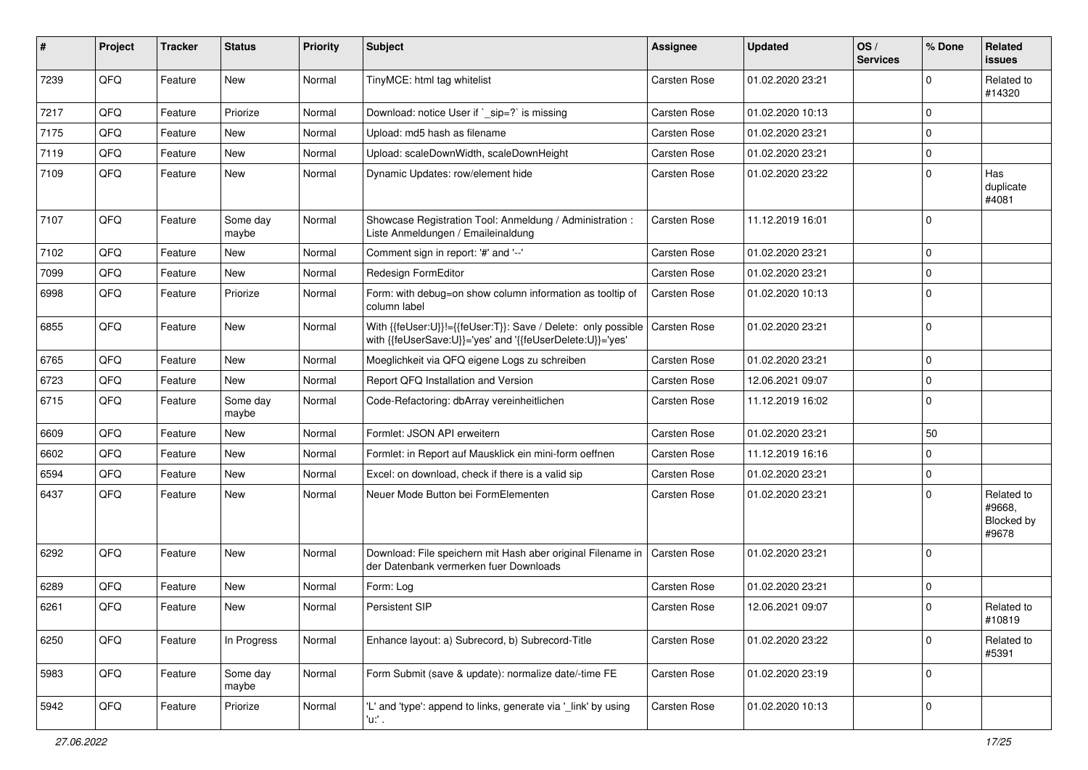| #    | Project | <b>Tracker</b> | <b>Status</b>     | <b>Priority</b> | <b>Subject</b>                                                                                                             | Assignee     | <b>Updated</b>   | OS/<br><b>Services</b> | % Done      | Related<br><b>issues</b>                    |
|------|---------|----------------|-------------------|-----------------|----------------------------------------------------------------------------------------------------------------------------|--------------|------------------|------------------------|-------------|---------------------------------------------|
| 7239 | QFQ     | Feature        | <b>New</b>        | Normal          | TinyMCE: html tag whitelist                                                                                                | Carsten Rose | 01.02.2020 23:21 |                        | $\mathbf 0$ | Related to<br>#14320                        |
| 7217 | QFQ     | Feature        | Priorize          | Normal          | Download: notice User if `_sip=?` is missing                                                                               | Carsten Rose | 01.02.2020 10:13 |                        | $\mathbf 0$ |                                             |
| 7175 | QFQ     | Feature        | <b>New</b>        | Normal          | Upload: md5 hash as filename                                                                                               | Carsten Rose | 01.02.2020 23:21 |                        | $\mathbf 0$ |                                             |
| 7119 | QFQ     | Feature        | New               | Normal          | Upload: scaleDownWidth, scaleDownHeight                                                                                    | Carsten Rose | 01.02.2020 23:21 |                        | $\pmb{0}$   |                                             |
| 7109 | QFQ     | Feature        | New               | Normal          | Dynamic Updates: row/element hide                                                                                          | Carsten Rose | 01.02.2020 23:22 |                        | $\Omega$    | Has<br>duplicate<br>#4081                   |
| 7107 | QFQ     | Feature        | Some day<br>maybe | Normal          | Showcase Registration Tool: Anmeldung / Administration :<br>Liste Anmeldungen / Emaileinaldung                             | Carsten Rose | 11.12.2019 16:01 |                        | $\mathbf 0$ |                                             |
| 7102 | QFQ     | Feature        | New               | Normal          | Comment sign in report: '#' and '--'                                                                                       | Carsten Rose | 01.02.2020 23:21 |                        | $\mathbf 0$ |                                             |
| 7099 | QFQ     | Feature        | <b>New</b>        | Normal          | Redesign FormEditor                                                                                                        | Carsten Rose | 01.02.2020 23:21 |                        | $\mathbf 0$ |                                             |
| 6998 | QFQ     | Feature        | Priorize          | Normal          | Form: with debug=on show column information as tooltip of<br>column label                                                  | Carsten Rose | 01.02.2020 10:13 |                        | $\Omega$    |                                             |
| 6855 | QFQ     | Feature        | New               | Normal          | With {{feUser:U}}!={{feUser:T}}: Save / Delete: only possible<br>with {{feUserSave:U}}='yes' and '{{feUserDelete:U}}='yes' | Carsten Rose | 01.02.2020 23:21 |                        | $\mathbf 0$ |                                             |
| 6765 | QFQ     | Feature        | New               | Normal          | Moeglichkeit via QFQ eigene Logs zu schreiben                                                                              | Carsten Rose | 01.02.2020 23:21 |                        | $\pmb{0}$   |                                             |
| 6723 | QFQ     | Feature        | New               | Normal          | Report QFQ Installation and Version                                                                                        | Carsten Rose | 12.06.2021 09:07 |                        | $\pmb{0}$   |                                             |
| 6715 | QFQ     | Feature        | Some day<br>maybe | Normal          | Code-Refactoring: dbArray vereinheitlichen                                                                                 | Carsten Rose | 11.12.2019 16:02 |                        | $\mathbf 0$ |                                             |
| 6609 | QFQ     | Feature        | New               | Normal          | Formlet: JSON API erweitern                                                                                                | Carsten Rose | 01.02.2020 23:21 |                        | 50          |                                             |
| 6602 | QFQ     | Feature        | New               | Normal          | Formlet: in Report auf Mausklick ein mini-form oeffnen                                                                     | Carsten Rose | 11.12.2019 16:16 |                        | $\pmb{0}$   |                                             |
| 6594 | QFQ     | Feature        | <b>New</b>        | Normal          | Excel: on download, check if there is a valid sip                                                                          | Carsten Rose | 01.02.2020 23:21 |                        | $\pmb{0}$   |                                             |
| 6437 | QFQ     | Feature        | New               | Normal          | Neuer Mode Button bei FormElementen                                                                                        | Carsten Rose | 01.02.2020 23:21 |                        | $\Omega$    | Related to<br>#9668,<br>Blocked by<br>#9678 |
| 6292 | QFQ     | Feature        | New               | Normal          | Download: File speichern mit Hash aber original Filename in   Carsten Rose<br>der Datenbank vermerken fuer Downloads       |              | 01.02.2020 23:21 |                        | $\mathbf 0$ |                                             |
| 6289 | QFQ     | Feature        | New               | Normal          | Form: Log                                                                                                                  | Carsten Rose | 01.02.2020 23:21 |                        | $\pmb{0}$   |                                             |
| 6261 | QFQ     | Feature        | New               | Normal          | Persistent SIP                                                                                                             | Carsten Rose | 12.06.2021 09:07 |                        | $\mathbf 0$ | Related to<br>#10819                        |
| 6250 | QFQ     | Feature        | In Progress       | Normal          | Enhance layout: a) Subrecord, b) Subrecord-Title                                                                           | Carsten Rose | 01.02.2020 23:22 |                        | $\pmb{0}$   | Related to<br>#5391                         |
| 5983 | QFQ     | Feature        | Some day<br>maybe | Normal          | Form Submit (save & update): normalize date/-time FE                                                                       | Carsten Rose | 01.02.2020 23:19 |                        | $\pmb{0}$   |                                             |
| 5942 | QFQ     | Feature        | Priorize          | Normal          | 'L' and 'type': append to links, generate via ' link' by using<br>'u. .                                                    | Carsten Rose | 01.02.2020 10:13 |                        | $\pmb{0}$   |                                             |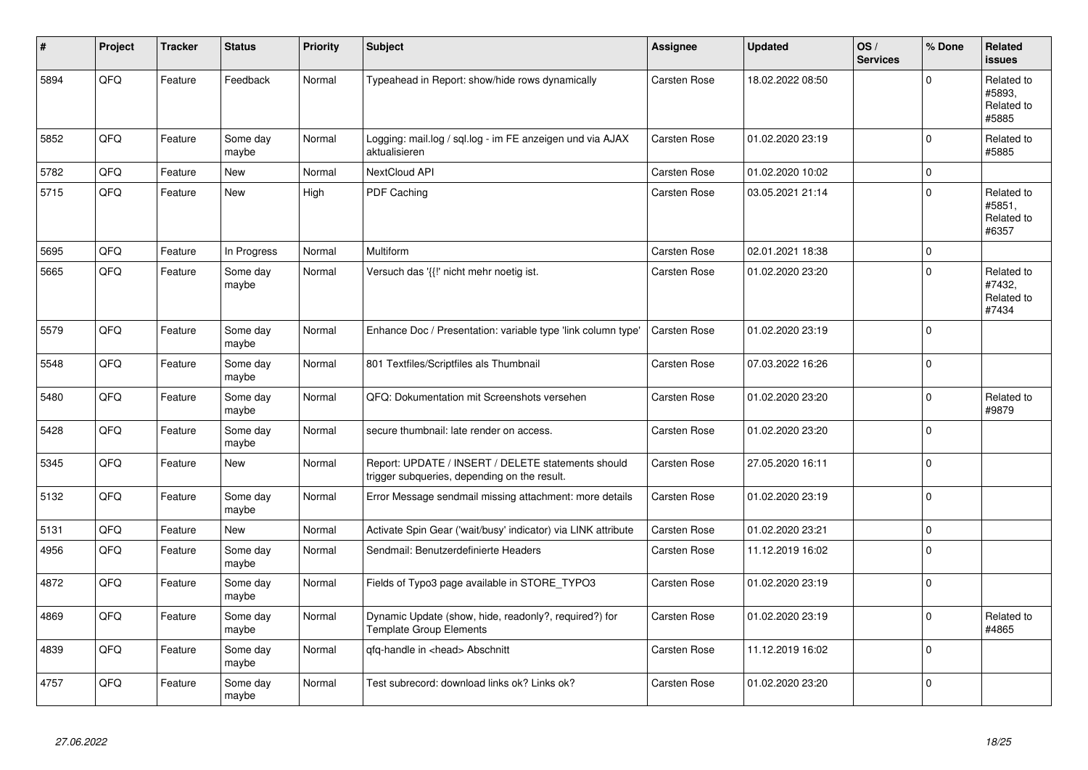| #    | Project | <b>Tracker</b> | <b>Status</b>     | <b>Priority</b> | <b>Subject</b>                                                                                     | Assignee            | <b>Updated</b>   | OS/<br><b>Services</b> | % Done      | Related<br><b>issues</b>                    |
|------|---------|----------------|-------------------|-----------------|----------------------------------------------------------------------------------------------------|---------------------|------------------|------------------------|-------------|---------------------------------------------|
| 5894 | QFQ     | Feature        | Feedback          | Normal          | Typeahead in Report: show/hide rows dynamically                                                    | <b>Carsten Rose</b> | 18.02.2022 08:50 |                        | $\Omega$    | Related to<br>#5893.<br>Related to<br>#5885 |
| 5852 | QFQ     | Feature        | Some day<br>maybe | Normal          | Logging: mail.log / sql.log - im FE anzeigen und via AJAX<br>aktualisieren                         | Carsten Rose        | 01.02.2020 23:19 |                        | $\mathbf 0$ | Related to<br>#5885                         |
| 5782 | QFQ     | Feature        | <b>New</b>        | Normal          | NextCloud API                                                                                      | Carsten Rose        | 01.02.2020 10:02 |                        | $\mathbf 0$ |                                             |
| 5715 | QFQ     | Feature        | New               | High            | PDF Caching                                                                                        | Carsten Rose        | 03.05.2021 21:14 |                        | $\Omega$    | Related to<br>#5851,<br>Related to<br>#6357 |
| 5695 | QFQ     | Feature        | In Progress       | Normal          | Multiform                                                                                          | Carsten Rose        | 02.01.2021 18:38 |                        | $\pmb{0}$   |                                             |
| 5665 | QFQ     | Feature        | Some day<br>maybe | Normal          | Versuch das '{{!' nicht mehr noetig ist.                                                           | Carsten Rose        | 01.02.2020 23:20 |                        | $\Omega$    | Related to<br>#7432,<br>Related to<br>#7434 |
| 5579 | QFQ     | Feature        | Some day<br>maybe | Normal          | Enhance Doc / Presentation: variable type 'link column type'                                       | Carsten Rose        | 01.02.2020 23:19 |                        | $\Omega$    |                                             |
| 5548 | QFQ     | Feature        | Some day<br>maybe | Normal          | 801 Textfiles/Scriptfiles als Thumbnail                                                            | Carsten Rose        | 07.03.2022 16:26 |                        | $\Omega$    |                                             |
| 5480 | QFQ     | Feature        | Some day<br>maybe | Normal          | QFQ: Dokumentation mit Screenshots versehen                                                        | Carsten Rose        | 01.02.2020 23:20 |                        | $\mathbf 0$ | Related to<br>#9879                         |
| 5428 | QFQ     | Feature        | Some day<br>maybe | Normal          | secure thumbnail: late render on access.                                                           | Carsten Rose        | 01.02.2020 23:20 |                        | $\Omega$    |                                             |
| 5345 | QFQ     | Feature        | <b>New</b>        | Normal          | Report: UPDATE / INSERT / DELETE statements should<br>trigger subqueries, depending on the result. | Carsten Rose        | 27.05.2020 16:11 |                        | $\Omega$    |                                             |
| 5132 | QFQ     | Feature        | Some day<br>maybe | Normal          | Error Message sendmail missing attachment: more details                                            | Carsten Rose        | 01.02.2020 23:19 |                        | $\pmb{0}$   |                                             |
| 5131 | QFQ     | Feature        | <b>New</b>        | Normal          | Activate Spin Gear ('wait/busy' indicator) via LINK attribute                                      | Carsten Rose        | 01.02.2020 23:21 |                        | $\pmb{0}$   |                                             |
| 4956 | QFQ     | Feature        | Some day<br>maybe | Normal          | Sendmail: Benutzerdefinierte Headers                                                               | Carsten Rose        | 11.12.2019 16:02 |                        | $\mathbf 0$ |                                             |
| 4872 | QFQ     | Feature        | Some day<br>maybe | Normal          | Fields of Typo3 page available in STORE_TYPO3                                                      | Carsten Rose        | 01.02.2020 23:19 |                        | $\Omega$    |                                             |
| 4869 | QFQ     | Feature        | Some day<br>maybe | Normal          | Dynamic Update (show, hide, readonly?, required?) for<br><b>Template Group Elements</b>            | Carsten Rose        | 01.02.2020 23:19 |                        | $\Omega$    | Related to<br>#4865                         |
| 4839 | QFQ     | Feature        | Some day<br>maybe | Normal          | qfq-handle in <head> Abschnitt</head>                                                              | Carsten Rose        | 11.12.2019 16:02 |                        | $\Omega$    |                                             |
| 4757 | QFQ     | Feature        | Some day<br>maybe | Normal          | Test subrecord: download links ok? Links ok?                                                       | Carsten Rose        | 01.02.2020 23:20 |                        | $\Omega$    |                                             |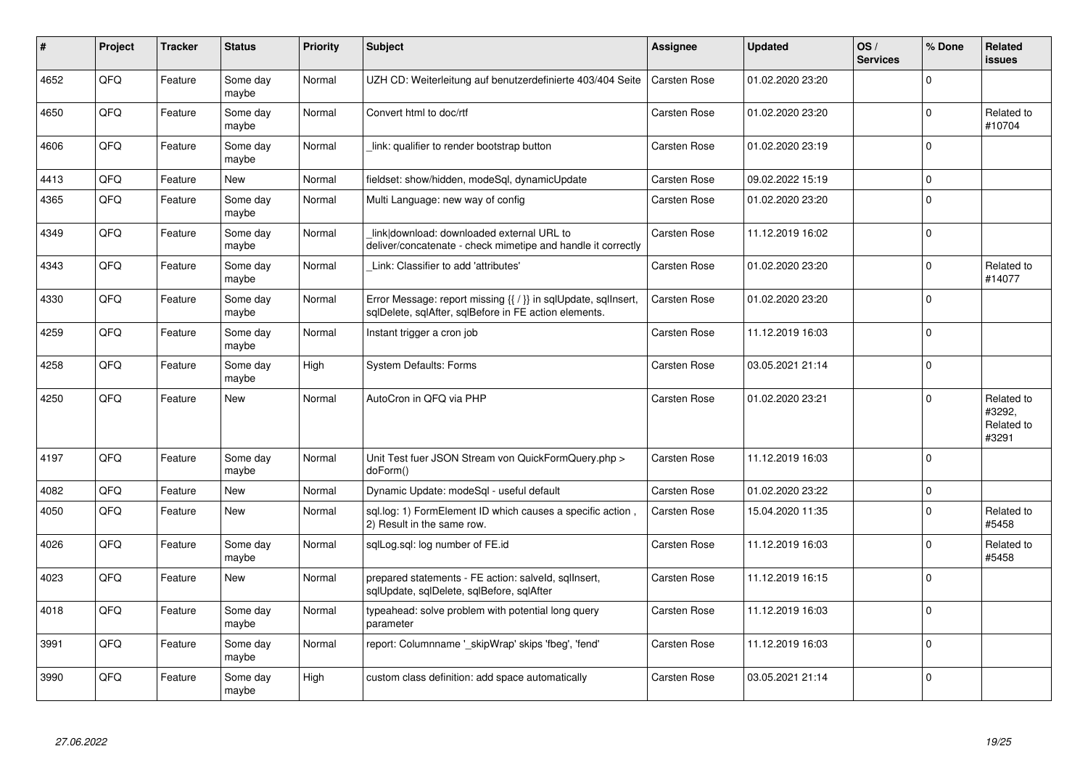| #    | Project | <b>Tracker</b> | <b>Status</b>     | <b>Priority</b> | <b>Subject</b>                                                                                                          | Assignee            | <b>Updated</b>   | OS/<br><b>Services</b> | % Done      | Related<br><b>issues</b>                    |
|------|---------|----------------|-------------------|-----------------|-------------------------------------------------------------------------------------------------------------------------|---------------------|------------------|------------------------|-------------|---------------------------------------------|
| 4652 | QFQ     | Feature        | Some day<br>maybe | Normal          | UZH CD: Weiterleitung auf benutzerdefinierte 403/404 Seite                                                              | Carsten Rose        | 01.02.2020 23:20 |                        | $\Omega$    |                                             |
| 4650 | QFQ     | Feature        | Some day<br>maybe | Normal          | Convert html to doc/rtf                                                                                                 | Carsten Rose        | 01.02.2020 23:20 |                        | $\mathbf 0$ | Related to<br>#10704                        |
| 4606 | QFQ     | Feature        | Some day<br>maybe | Normal          | link: qualifier to render bootstrap button                                                                              | Carsten Rose        | 01.02.2020 23:19 |                        | $\mathbf 0$ |                                             |
| 4413 | QFQ     | Feature        | <b>New</b>        | Normal          | fieldset: show/hidden, modeSql, dynamicUpdate                                                                           | Carsten Rose        | 09.02.2022 15:19 |                        | $\Omega$    |                                             |
| 4365 | QFQ     | Feature        | Some day<br>maybe | Normal          | Multi Language: new way of config                                                                                       | Carsten Rose        | 01.02.2020 23:20 |                        | $\pmb{0}$   |                                             |
| 4349 | QFQ     | Feature        | Some day<br>maybe | Normal          | link download: downloaded external URL to<br>deliver/concatenate - check mimetipe and handle it correctly               | Carsten Rose        | 11.12.2019 16:02 |                        | $\Omega$    |                                             |
| 4343 | QFQ     | Feature        | Some day<br>maybe | Normal          | Link: Classifier to add 'attributes'                                                                                    | Carsten Rose        | 01.02.2020 23:20 |                        | $\mathbf 0$ | Related to<br>#14077                        |
| 4330 | QFQ     | Feature        | Some day<br>maybe | Normal          | Error Message: report missing {{ / }} in sqlUpdate, sqlInsert,<br>sglDelete, sglAfter, sglBefore in FE action elements. | Carsten Rose        | 01.02.2020 23:20 |                        | $\Omega$    |                                             |
| 4259 | QFQ     | Feature        | Some day<br>maybe | Normal          | Instant trigger a cron job                                                                                              | <b>Carsten Rose</b> | 11.12.2019 16:03 |                        | $\mathbf 0$ |                                             |
| 4258 | QFQ     | Feature        | Some day<br>maybe | High            | <b>System Defaults: Forms</b>                                                                                           | Carsten Rose        | 03.05.2021 21:14 |                        | $\mathbf 0$ |                                             |
| 4250 | QFQ     | Feature        | <b>New</b>        | Normal          | AutoCron in QFQ via PHP                                                                                                 | Carsten Rose        | 01.02.2020 23:21 |                        | $\Omega$    | Related to<br>#3292,<br>Related to<br>#3291 |
| 4197 | QFQ     | Feature        | Some day<br>maybe | Normal          | Unit Test fuer JSON Stream von QuickFormQuery.php ><br>doForm()                                                         | Carsten Rose        | 11.12.2019 16:03 |                        | $\mathbf 0$ |                                             |
| 4082 | QFQ     | Feature        | New               | Normal          | Dynamic Update: modeSql - useful default                                                                                | Carsten Rose        | 01.02.2020 23:22 |                        | $\pmb{0}$   |                                             |
| 4050 | QFQ     | Feature        | <b>New</b>        | Normal          | sql.log: 1) FormElement ID which causes a specific action,<br>2) Result in the same row.                                | Carsten Rose        | 15.04.2020 11:35 |                        | $\mathbf 0$ | Related to<br>#5458                         |
| 4026 | QFQ     | Feature        | Some day<br>maybe | Normal          | sglLog.sgl: log number of FE.id                                                                                         | Carsten Rose        | 11.12.2019 16:03 |                        | $\Omega$    | Related to<br>#5458                         |
| 4023 | QFQ     | Feature        | <b>New</b>        | Normal          | prepared statements - FE action: salveld, sgllnsert,<br>sqlUpdate, sqlDelete, sqlBefore, sqlAfter                       | Carsten Rose        | 11.12.2019 16:15 |                        | $\Omega$    |                                             |
| 4018 | QFQ     | Feature        | Some day<br>maybe | Normal          | typeahead: solve problem with potential long query<br>parameter                                                         | Carsten Rose        | 11.12.2019 16:03 |                        | $\Omega$    |                                             |
| 3991 | QFQ     | Feature        | Some day<br>maybe | Normal          | report: Columnname '_skipWrap' skips 'fbeg', 'fend'                                                                     | Carsten Rose        | 11.12.2019 16:03 |                        | $\pmb{0}$   |                                             |
| 3990 | QFQ     | Feature        | Some day<br>maybe | High            | custom class definition: add space automatically                                                                        | Carsten Rose        | 03.05.2021 21:14 |                        | $\Omega$    |                                             |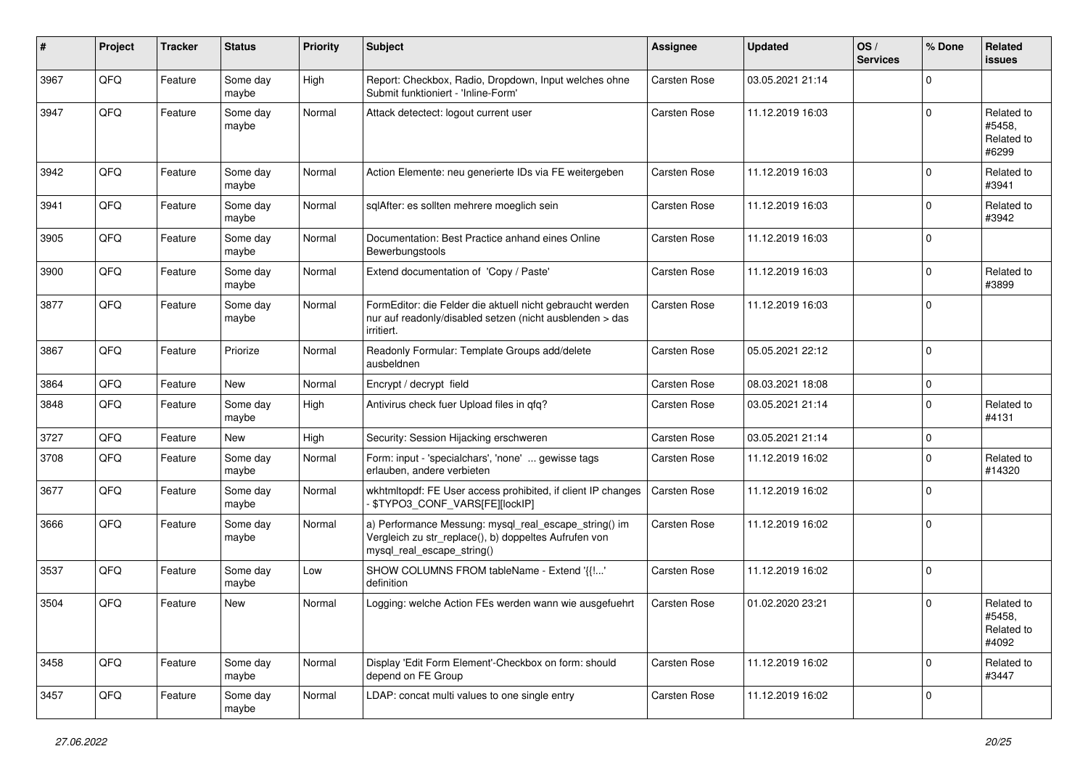| $\vert$ # | Project | <b>Tracker</b> | <b>Status</b>     | <b>Priority</b> | <b>Subject</b>                                                                                                                               | <b>Assignee</b>     | <b>Updated</b>   | OS/<br><b>Services</b> | % Done      | <b>Related</b><br><b>issues</b>             |
|-----------|---------|----------------|-------------------|-----------------|----------------------------------------------------------------------------------------------------------------------------------------------|---------------------|------------------|------------------------|-------------|---------------------------------------------|
| 3967      | QFQ     | Feature        | Some day<br>maybe | High            | Report: Checkbox, Radio, Dropdown, Input welches ohne<br>Submit funktioniert - 'Inline-Form'                                                 | Carsten Rose        | 03.05.2021 21:14 |                        | $\mathbf 0$ |                                             |
| 3947      | QFQ     | Feature        | Some day<br>maybe | Normal          | Attack detectect: logout current user                                                                                                        | Carsten Rose        | 11.12.2019 16:03 |                        | $\mathbf 0$ | Related to<br>#5458.<br>Related to<br>#6299 |
| 3942      | QFQ     | Feature        | Some day<br>maybe | Normal          | Action Elemente: neu generierte IDs via FE weitergeben                                                                                       | <b>Carsten Rose</b> | 11.12.2019 16:03 |                        | $\mathbf 0$ | Related to<br>#3941                         |
| 3941      | QFQ     | Feature        | Some day<br>maybe | Normal          | sqlAfter: es sollten mehrere moeglich sein                                                                                                   | Carsten Rose        | 11.12.2019 16:03 |                        | $\mathbf 0$ | Related to<br>#3942                         |
| 3905      | QFQ     | Feature        | Some day<br>maybe | Normal          | Documentation: Best Practice anhand eines Online<br>Bewerbungstools                                                                          | Carsten Rose        | 11.12.2019 16:03 |                        | $\mathbf 0$ |                                             |
| 3900      | QFQ     | Feature        | Some day<br>maybe | Normal          | Extend documentation of 'Copy / Paste'                                                                                                       | Carsten Rose        | 11.12.2019 16:03 |                        | $\mathbf 0$ | Related to<br>#3899                         |
| 3877      | QFQ     | Feature        | Some day<br>maybe | Normal          | FormEditor: die Felder die aktuell nicht gebraucht werden<br>nur auf readonly/disabled setzen (nicht ausblenden > das<br>irritiert.          | <b>Carsten Rose</b> | 11.12.2019 16:03 |                        | $\mathbf 0$ |                                             |
| 3867      | QFQ     | Feature        | Priorize          | Normal          | Readonly Formular: Template Groups add/delete<br>ausbeldnen                                                                                  | Carsten Rose        | 05.05.2021 22:12 |                        | $\mathbf 0$ |                                             |
| 3864      | QFQ     | Feature        | <b>New</b>        | Normal          | Encrypt / decrypt field                                                                                                                      | Carsten Rose        | 08.03.2021 18:08 |                        | $\pmb{0}$   |                                             |
| 3848      | QFQ     | Feature        | Some day<br>maybe | High            | Antivirus check fuer Upload files in qfq?                                                                                                    | Carsten Rose        | 03.05.2021 21:14 |                        | $\mathbf 0$ | Related to<br>#4131                         |
| 3727      | QFQ     | Feature        | New               | High            | Security: Session Hijacking erschweren                                                                                                       | Carsten Rose        | 03.05.2021 21:14 |                        | $\mathbf 0$ |                                             |
| 3708      | QFQ     | Feature        | Some day<br>maybe | Normal          | Form: input - 'specialchars', 'none'  gewisse tags<br>erlauben, andere verbieten                                                             | Carsten Rose        | 11.12.2019 16:02 |                        | $\mathbf 0$ | Related to<br>#14320                        |
| 3677      | QFQ     | Feature        | Some day<br>maybe | Normal          | wkhtmltopdf: FE User access prohibited, if client IP changes<br>- \$TYPO3_CONF_VARS[FE][lockIP]                                              | <b>Carsten Rose</b> | 11.12.2019 16:02 |                        | $\mathbf 0$ |                                             |
| 3666      | QFQ     | Feature        | Some day<br>maybe | Normal          | a) Performance Messung: mysql_real_escape_string() im<br>Vergleich zu str_replace(), b) doppeltes Aufrufen von<br>mysql_real_escape_string() | Carsten Rose        | 11.12.2019 16:02 |                        | $\mathbf 0$ |                                             |
| 3537      | QFQ     | Feature        | Some day<br>maybe | Low             | SHOW COLUMNS FROM tableName - Extend '{{!'<br>definition                                                                                     | Carsten Rose        | 11.12.2019 16:02 |                        | $\mathbf 0$ |                                             |
| 3504      | QFQ     | Feature        | New               | Normal          | Logging: welche Action FEs werden wann wie ausgefuehrt                                                                                       | <b>Carsten Rose</b> | 01.02.2020 23:21 |                        | $\mathbf 0$ | Related to<br>#5458,<br>Related to<br>#4092 |
| 3458      | QFQ     | Feature        | Some day<br>maybe | Normal          | Display 'Edit Form Element'-Checkbox on form: should<br>depend on FE Group                                                                   | Carsten Rose        | 11.12.2019 16:02 |                        | $\mathbf 0$ | Related to<br>#3447                         |
| 3457      | QFQ     | Feature        | Some day<br>maybe | Normal          | LDAP: concat multi values to one single entry                                                                                                | Carsten Rose        | 11.12.2019 16:02 |                        | $\mathbf 0$ |                                             |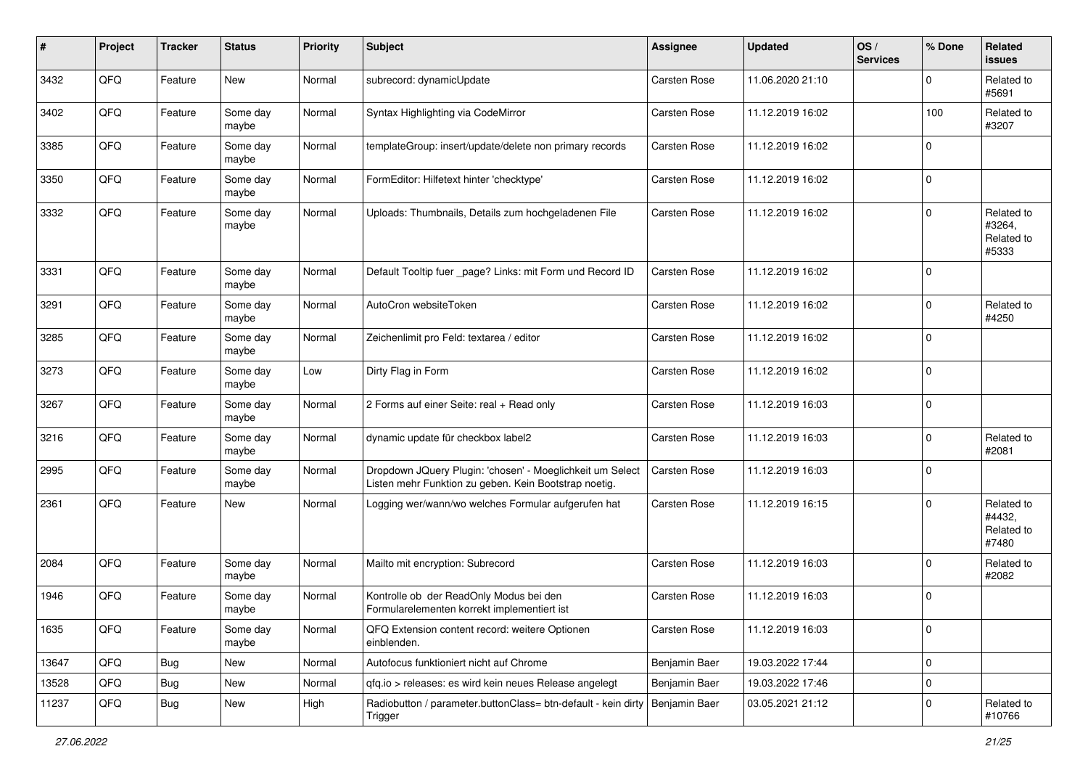| #     | Project | <b>Tracker</b> | <b>Status</b>     | <b>Priority</b> | <b>Subject</b>                                                                                                     | <b>Assignee</b>     | <b>Updated</b>   | OS/<br><b>Services</b> | % Done      | Related<br><b>issues</b>                    |
|-------|---------|----------------|-------------------|-----------------|--------------------------------------------------------------------------------------------------------------------|---------------------|------------------|------------------------|-------------|---------------------------------------------|
| 3432  | QFQ     | Feature        | <b>New</b>        | Normal          | subrecord: dynamicUpdate                                                                                           | <b>Carsten Rose</b> | 11.06.2020 21:10 |                        | $\Omega$    | Related to<br>#5691                         |
| 3402  | QFQ     | Feature        | Some day<br>maybe | Normal          | Syntax Highlighting via CodeMirror                                                                                 | Carsten Rose        | 11.12.2019 16:02 |                        | 100         | Related to<br>#3207                         |
| 3385  | QFQ     | Feature        | Some day<br>maybe | Normal          | templateGroup: insert/update/delete non primary records                                                            | <b>Carsten Rose</b> | 11.12.2019 16:02 |                        | $\Omega$    |                                             |
| 3350  | QFQ     | Feature        | Some day<br>maybe | Normal          | FormEditor: Hilfetext hinter 'checktype'                                                                           | Carsten Rose        | 11.12.2019 16:02 |                        | 0           |                                             |
| 3332  | QFQ     | Feature        | Some day<br>maybe | Normal          | Uploads: Thumbnails, Details zum hochgeladenen File                                                                | Carsten Rose        | 11.12.2019 16:02 |                        | $\Omega$    | Related to<br>#3264,<br>Related to<br>#5333 |
| 3331  | QFQ     | Feature        | Some day<br>maybe | Normal          | Default Tooltip fuer _page? Links: mit Form und Record ID                                                          | <b>Carsten Rose</b> | 11.12.2019 16:02 |                        | $\Omega$    |                                             |
| 3291  | QFQ     | Feature        | Some day<br>maybe | Normal          | AutoCron websiteToken                                                                                              | Carsten Rose        | 11.12.2019 16:02 |                        | $\Omega$    | Related to<br>#4250                         |
| 3285  | QFQ     | Feature        | Some day<br>maybe | Normal          | Zeichenlimit pro Feld: textarea / editor                                                                           | Carsten Rose        | 11.12.2019 16:02 |                        | $\mathbf 0$ |                                             |
| 3273  | QFQ     | Feature        | Some day<br>maybe | Low             | Dirty Flag in Form                                                                                                 | Carsten Rose        | 11.12.2019 16:02 |                        | $\Omega$    |                                             |
| 3267  | QFQ     | Feature        | Some day<br>maybe | Normal          | 2 Forms auf einer Seite: real + Read only                                                                          | Carsten Rose        | 11.12.2019 16:03 |                        | $\mathbf 0$ |                                             |
| 3216  | QFQ     | Feature        | Some day<br>maybe | Normal          | dynamic update für checkbox label2                                                                                 | <b>Carsten Rose</b> | 11.12.2019 16:03 |                        | $\mathbf 0$ | Related to<br>#2081                         |
| 2995  | QFQ     | Feature        | Some day<br>maybe | Normal          | Dropdown JQuery Plugin: 'chosen' - Moeglichkeit um Select<br>Listen mehr Funktion zu geben. Kein Bootstrap noetig. | <b>Carsten Rose</b> | 11.12.2019 16:03 |                        | $\mathbf 0$ |                                             |
| 2361  | QFQ     | Feature        | New               | Normal          | Logging wer/wann/wo welches Formular aufgerufen hat                                                                | Carsten Rose        | 11.12.2019 16:15 |                        | $\Omega$    | Related to<br>#4432,<br>Related to<br>#7480 |
| 2084  | QFQ     | Feature        | Some day<br>maybe | Normal          | Mailto mit encryption: Subrecord                                                                                   | Carsten Rose        | 11.12.2019 16:03 |                        | $\mathbf 0$ | Related to<br>#2082                         |
| 1946  | QFQ     | Feature        | Some day<br>maybe | Normal          | Kontrolle ob der ReadOnly Modus bei den<br>Formularelementen korrekt implementiert ist                             | Carsten Rose        | 11.12.2019 16:03 |                        | $\Omega$    |                                             |
| 1635  | QFG     | Feature        | Some day<br>maybe | Normal          | QFQ Extension content record: weitere Optionen<br>einblenden.                                                      | Carsten Rose        | 11.12.2019 16:03 |                        | $\mathbf 0$ |                                             |
| 13647 | QFQ     | <b>Bug</b>     | New               | Normal          | Autofocus funktioniert nicht auf Chrome                                                                            | Benjamin Baer       | 19.03.2022 17:44 |                        | $\mathbf 0$ |                                             |
| 13528 | QFQ     | <b>Bug</b>     | New               | Normal          | gfg.io > releases: es wird kein neues Release angelegt                                                             | Benjamin Baer       | 19.03.2022 17:46 |                        | $\mathbf 0$ |                                             |
| 11237 | QFQ     | <b>Bug</b>     | New               | High            | Radiobutton / parameter.buttonClass= btn-default - kein dirty   Benjamin Baer<br>Trigger                           |                     | 03.05.2021 21:12 |                        | $\mathbf 0$ | Related to<br>#10766                        |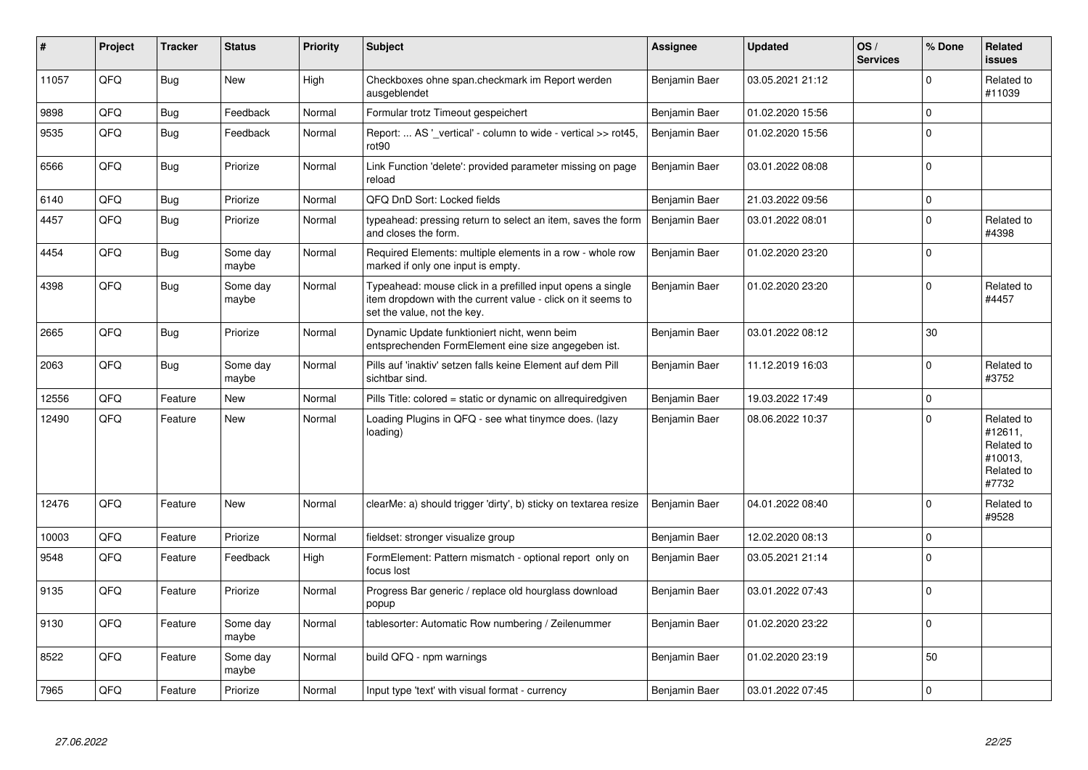| #     | Project | <b>Tracker</b> | <b>Status</b>     | <b>Priority</b> | <b>Subject</b>                                                                                                                                           | <b>Assignee</b> | <b>Updated</b>   | OS/<br><b>Services</b> | % Done      | Related<br><b>issues</b>                                              |
|-------|---------|----------------|-------------------|-----------------|----------------------------------------------------------------------------------------------------------------------------------------------------------|-----------------|------------------|------------------------|-------------|-----------------------------------------------------------------------|
| 11057 | QFQ     | <b>Bug</b>     | New               | High            | Checkboxes ohne span.checkmark im Report werden<br>ausgeblendet                                                                                          | Benjamin Baer   | 03.05.2021 21:12 |                        | $\Omega$    | Related to<br>#11039                                                  |
| 9898  | QFQ     | Bug            | Feedback          | Normal          | Formular trotz Timeout gespeichert                                                                                                                       | Benjamin Baer   | 01.02.2020 15:56 |                        | $\mathbf 0$ |                                                                       |
| 9535  | QFQ     | <b>Bug</b>     | Feedback          | Normal          | Report:  AS ' vertical' - column to wide - vertical >> rot45,<br>rot <sub>90</sub>                                                                       | Benjamin Baer   | 01.02.2020 15:56 |                        | $\mathbf 0$ |                                                                       |
| 6566  | QFQ     | Bug            | Priorize          | Normal          | Link Function 'delete': provided parameter missing on page<br>reload                                                                                     | Benjamin Baer   | 03.01.2022 08:08 |                        | $\Omega$    |                                                                       |
| 6140  | QFQ     | Bug            | Priorize          | Normal          | QFQ DnD Sort: Locked fields                                                                                                                              | Benjamin Baer   | 21.03.2022 09:56 |                        | $\mathbf 0$ |                                                                       |
| 4457  | QFQ     | <b>Bug</b>     | Priorize          | Normal          | typeahead: pressing return to select an item, saves the form<br>and closes the form.                                                                     | Benjamin Baer   | 03.01.2022 08:01 |                        | $\mathbf 0$ | Related to<br>#4398                                                   |
| 4454  | QFQ     | Bug            | Some day<br>maybe | Normal          | Required Elements: multiple elements in a row - whole row<br>marked if only one input is empty.                                                          | Benjamin Baer   | 01.02.2020 23:20 |                        | $\mathbf 0$ |                                                                       |
| 4398  | QFQ     | <b>Bug</b>     | Some day<br>maybe | Normal          | Typeahead: mouse click in a prefilled input opens a single<br>item dropdown with the current value - click on it seems to<br>set the value, not the key. | Benjamin Baer   | 01.02.2020 23:20 |                        | $\Omega$    | Related to<br>#4457                                                   |
| 2665  | QFQ     | Bug            | Priorize          | Normal          | Dynamic Update funktioniert nicht, wenn beim<br>entsprechenden FormElement eine size angegeben ist.                                                      | Benjamin Baer   | 03.01.2022 08:12 |                        | 30          |                                                                       |
| 2063  | QFQ     | <b>Bug</b>     | Some day<br>maybe | Normal          | Pills auf 'inaktiv' setzen falls keine Element auf dem Pill<br>sichtbar sind.                                                                            | Benjamin Baer   | 11.12.2019 16:03 |                        | $\Omega$    | Related to<br>#3752                                                   |
| 12556 | QFQ     | Feature        | <b>New</b>        | Normal          | Pills Title: colored = static or dynamic on allrequiredgiven                                                                                             | Benjamin Baer   | 19.03.2022 17:49 |                        | $\mathbf 0$ |                                                                       |
| 12490 | QFQ     | Feature        | <b>New</b>        | Normal          | Loading Plugins in QFQ - see what tinymce does. (lazy<br>loading)                                                                                        | Benjamin Baer   | 08.06.2022 10:37 |                        | $\Omega$    | Related to<br>#12611,<br>Related to<br>#10013,<br>Related to<br>#7732 |
| 12476 | QFQ     | Feature        | New               | Normal          | clearMe: a) should trigger 'dirty', b) sticky on textarea resize                                                                                         | Benjamin Baer   | 04.01.2022 08:40 |                        | $\mathbf 0$ | Related to<br>#9528                                                   |
| 10003 | QFQ     | Feature        | Priorize          | Normal          | fieldset: stronger visualize group                                                                                                                       | Benjamin Baer   | 12.02.2020 08:13 |                        | $\mathbf 0$ |                                                                       |
| 9548  | QFQ     | Feature        | Feedback          | High            | FormElement: Pattern mismatch - optional report only on<br>focus lost                                                                                    | Benjamin Baer   | 03.05.2021 21:14 |                        | $\mathbf 0$ |                                                                       |
| 9135  | QFQ     | Feature        | Priorize          | Normal          | Progress Bar generic / replace old hourglass download<br>popup                                                                                           | Benjamin Baer   | 03.01.2022 07:43 |                        | $\Omega$    |                                                                       |
| 9130  | QFQ     | Feature        | Some day<br>maybe | Normal          | tablesorter: Automatic Row numbering / Zeilenummer                                                                                                       | Benjamin Baer   | 01.02.2020 23:22 |                        | $\Omega$    |                                                                       |
| 8522  | QFQ     | Feature        | Some day<br>maybe | Normal          | build QFQ - npm warnings                                                                                                                                 | Benjamin Baer   | 01.02.2020 23:19 |                        | 50          |                                                                       |
| 7965  | QFQ     | Feature        | Priorize          | Normal          | Input type 'text' with visual format - currency                                                                                                          | Benjamin Baer   | 03.01.2022 07:45 |                        | $\pmb{0}$   |                                                                       |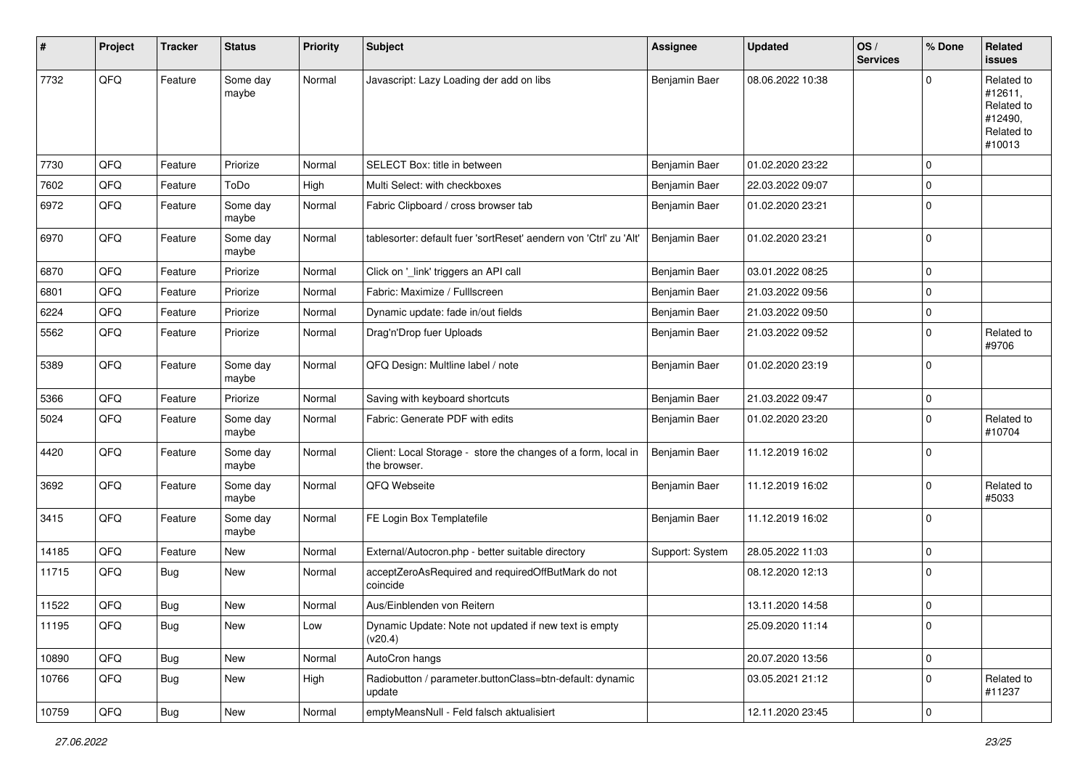| #     | Project | <b>Tracker</b> | <b>Status</b>     | <b>Priority</b> | Subject                                                                       | <b>Assignee</b> | <b>Updated</b>   | OS/<br><b>Services</b> | % Done      | Related<br><b>issues</b>                                               |
|-------|---------|----------------|-------------------|-----------------|-------------------------------------------------------------------------------|-----------------|------------------|------------------------|-------------|------------------------------------------------------------------------|
| 7732  | QFQ     | Feature        | Some day<br>maybe | Normal          | Javascript: Lazy Loading der add on libs                                      | Benjamin Baer   | 08.06.2022 10:38 |                        | $\mathbf 0$ | Related to<br>#12611,<br>Related to<br>#12490,<br>Related to<br>#10013 |
| 7730  | QFQ     | Feature        | Priorize          | Normal          | SELECT Box: title in between                                                  | Benjamin Baer   | 01.02.2020 23:22 |                        | $\mathbf 0$ |                                                                        |
| 7602  | QFQ     | Feature        | ToDo              | High            | Multi Select: with checkboxes                                                 | Benjamin Baer   | 22.03.2022 09:07 |                        | $\mathbf 0$ |                                                                        |
| 6972  | QFQ     | Feature        | Some day<br>maybe | Normal          | Fabric Clipboard / cross browser tab                                          | Benjamin Baer   | 01.02.2020 23:21 |                        | $\pmb{0}$   |                                                                        |
| 6970  | QFQ     | Feature        | Some day<br>maybe | Normal          | tablesorter: default fuer 'sortReset' aendern von 'Ctrl' zu 'Alt'             | Benjamin Baer   | 01.02.2020 23:21 |                        | $\mathbf 0$ |                                                                        |
| 6870  | QFQ     | Feature        | Priorize          | Normal          | Click on '_link' triggers an API call                                         | Benjamin Baer   | 03.01.2022 08:25 |                        | $\mathbf 0$ |                                                                        |
| 6801  | QFQ     | Feature        | Priorize          | Normal          | Fabric: Maximize / FullIscreen                                                | Benjamin Baer   | 21.03.2022 09:56 |                        | $\mathbf 0$ |                                                                        |
| 6224  | QFQ     | Feature        | Priorize          | Normal          | Dynamic update: fade in/out fields                                            | Benjamin Baer   | 21.03.2022 09:50 |                        | $\mathbf 0$ |                                                                        |
| 5562  | QFQ     | Feature        | Priorize          | Normal          | Drag'n'Drop fuer Uploads                                                      | Benjamin Baer   | 21.03.2022 09:52 |                        | 0           | Related to<br>#9706                                                    |
| 5389  | QFQ     | Feature        | Some day<br>maybe | Normal          | QFQ Design: Multline label / note                                             | Benjamin Baer   | 01.02.2020 23:19 |                        | $\mathbf 0$ |                                                                        |
| 5366  | QFQ     | Feature        | Priorize          | Normal          | Saving with keyboard shortcuts                                                | Benjamin Baer   | 21.03.2022 09:47 |                        | $\mathsf 0$ |                                                                        |
| 5024  | QFQ     | Feature        | Some day<br>maybe | Normal          | Fabric: Generate PDF with edits                                               | Benjamin Baer   | 01.02.2020 23:20 |                        | $\mathbf 0$ | Related to<br>#10704                                                   |
| 4420  | QFQ     | Feature        | Some day<br>maybe | Normal          | Client: Local Storage - store the changes of a form, local in<br>the browser. | Benjamin Baer   | 11.12.2019 16:02 |                        | $\mathbf 0$ |                                                                        |
| 3692  | QFQ     | Feature        | Some day<br>maybe | Normal          | QFQ Webseite                                                                  | Benjamin Baer   | 11.12.2019 16:02 |                        | $\mathbf 0$ | Related to<br>#5033                                                    |
| 3415  | QFQ     | Feature        | Some day<br>maybe | Normal          | FE Login Box Templatefile                                                     | Benjamin Baer   | 11.12.2019 16:02 |                        | $\mathbf 0$ |                                                                        |
| 14185 | QFQ     | Feature        | New               | Normal          | External/Autocron.php - better suitable directory                             | Support: System | 28.05.2022 11:03 |                        | $\mathbf 0$ |                                                                        |
| 11715 | QFQ     | Bug            | New               | Normal          | acceptZeroAsRequired and requiredOffButMark do not<br>coincide                |                 | 08.12.2020 12:13 |                        | $\mathbf 0$ |                                                                        |
| 11522 | QFQ     | Bug            | New               | Normal          | Aus/Einblenden von Reitern                                                    |                 | 13.11.2020 14:58 |                        | $\mathbf 0$ |                                                                        |
| 11195 | QFQ     | Bug            | New               | Low             | Dynamic Update: Note not updated if new text is empty<br>(v20.4)              |                 | 25.09.2020 11:14 |                        | 0           |                                                                        |
| 10890 | QFQ     | Bug            | New               | Normal          | AutoCron hangs                                                                |                 | 20.07.2020 13:56 |                        | $\mathbf 0$ |                                                                        |
| 10766 | QFQ     | <b>Bug</b>     | New               | High            | Radiobutton / parameter.buttonClass=btn-default: dynamic<br>update            |                 | 03.05.2021 21:12 |                        | $\mathbf 0$ | Related to<br>#11237                                                   |
| 10759 | QFQ     | <b>Bug</b>     | New               | Normal          | emptyMeansNull - Feld falsch aktualisiert                                     |                 | 12.11.2020 23:45 |                        | $\mathsf 0$ |                                                                        |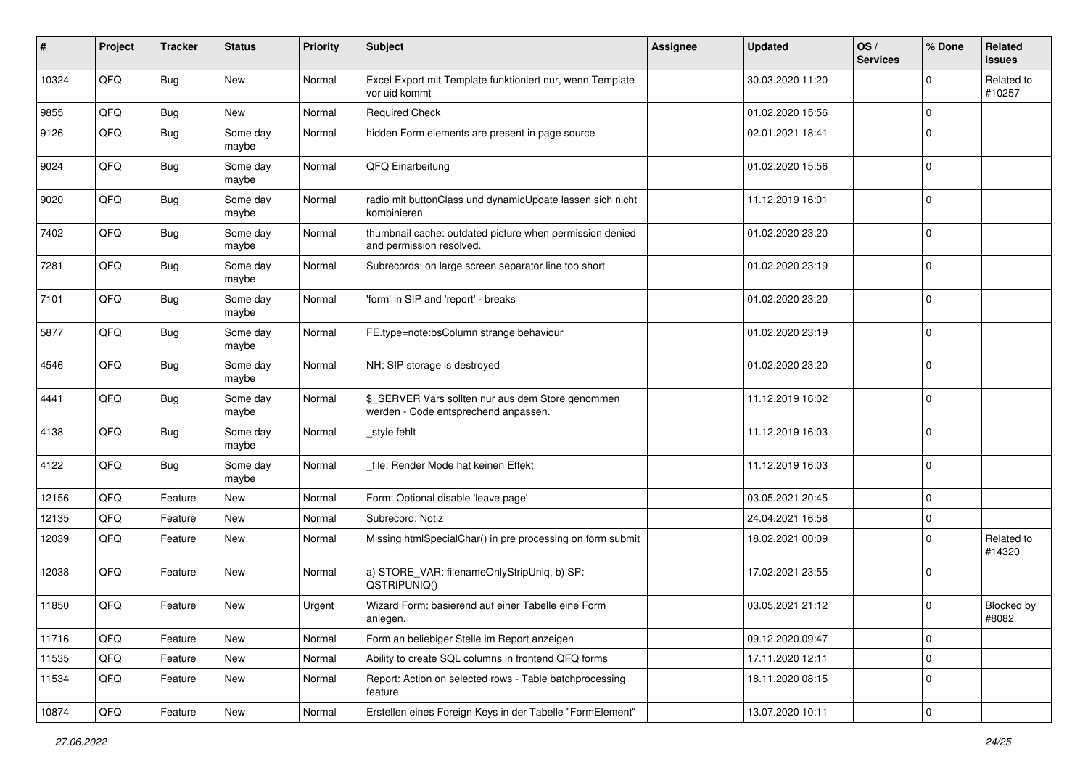| ∦     | Project | <b>Tracker</b> | <b>Status</b>     | <b>Priority</b> | <b>Subject</b>                                                                            | <b>Assignee</b> | <b>Updated</b>   | OS/<br><b>Services</b> | % Done              | <b>Related</b><br><b>issues</b> |
|-------|---------|----------------|-------------------|-----------------|-------------------------------------------------------------------------------------------|-----------------|------------------|------------------------|---------------------|---------------------------------|
| 10324 | QFQ     | <b>Bug</b>     | <b>New</b>        | Normal          | Excel Export mit Template funktioniert nur, wenn Template<br>vor uid kommt                |                 | 30.03.2020 11:20 |                        | $\mathbf 0$         | Related to<br>#10257            |
| 9855  | QFQ     | Bug            | <b>New</b>        | Normal          | <b>Required Check</b>                                                                     |                 | 01.02.2020 15:56 |                        | $\mathbf 0$         |                                 |
| 9126  | QFQ     | <b>Bug</b>     | Some day<br>maybe | Normal          | hidden Form elements are present in page source                                           |                 | 02.01.2021 18:41 |                        | $\mathbf 0$         |                                 |
| 9024  | QFQ     | <b>Bug</b>     | Some day<br>maybe | Normal          | QFQ Einarbeitung                                                                          |                 | 01.02.2020 15:56 |                        | $\mathbf 0$         |                                 |
| 9020  | QFQ     | <b>Bug</b>     | Some day<br>maybe | Normal          | radio mit buttonClass und dynamicUpdate lassen sich nicht<br>kombinieren                  |                 | 11.12.2019 16:01 |                        | $\mathbf 0$         |                                 |
| 7402  | QFQ     | <b>Bug</b>     | Some day<br>maybe | Normal          | thumbnail cache: outdated picture when permission denied<br>and permission resolved.      |                 | 01.02.2020 23:20 |                        | $\mathbf 0$         |                                 |
| 7281  | QFQ     | <b>Bug</b>     | Some day<br>maybe | Normal          | Subrecords: on large screen separator line too short                                      |                 | 01.02.2020 23:19 |                        | $\mathbf 0$         |                                 |
| 7101  | QFQ     | Bug            | Some day<br>maybe | Normal          | 'form' in SIP and 'report' - breaks                                                       |                 | 01.02.2020 23:20 |                        | $\mathbf 0$         |                                 |
| 5877  | QFQ     | Bug            | Some day<br>maybe | Normal          | FE.type=note:bsColumn strange behaviour                                                   |                 | 01.02.2020 23:19 |                        | $\mathbf 0$         |                                 |
| 4546  | QFQ     | <b>Bug</b>     | Some day<br>maybe | Normal          | NH: SIP storage is destroyed                                                              |                 | 01.02.2020 23:20 |                        | $\mathbf 0$         |                                 |
| 4441  | QFQ     | <b>Bug</b>     | Some day<br>maybe | Normal          | \$_SERVER Vars sollten nur aus dem Store genommen<br>werden - Code entsprechend anpassen. |                 | 11.12.2019 16:02 |                        | $\mathbf 0$         |                                 |
| 4138  | QFQ     | Bug            | Some day<br>maybe | Normal          | style fehlt                                                                               |                 | 11.12.2019 16:03 |                        | $\mathbf 0$         |                                 |
| 4122  | QFQ     | <b>Bug</b>     | Some day<br>maybe | Normal          | file: Render Mode hat keinen Effekt                                                       |                 | 11.12.2019 16:03 |                        | $\mathbf 0$         |                                 |
| 12156 | QFQ     | Feature        | <b>New</b>        | Normal          | Form: Optional disable 'leave page'                                                       |                 | 03.05.2021 20:45 |                        | $\mathbf 0$         |                                 |
| 12135 | QFQ     | Feature        | New               | Normal          | Subrecord: Notiz                                                                          |                 | 24.04.2021 16:58 |                        | $\mathbf 0$         |                                 |
| 12039 | QFQ     | Feature        | <b>New</b>        | Normal          | Missing htmlSpecialChar() in pre processing on form submit                                |                 | 18.02.2021 00:09 |                        | $\mathbf 0$         | Related to<br>#14320            |
| 12038 | QFQ     | Feature        | <b>New</b>        | Normal          | a) STORE_VAR: filenameOnlyStripUniq, b) SP:<br>QSTRIPUNIQ()                               |                 | 17.02.2021 23:55 |                        | $\mathbf 0$         |                                 |
| 11850 | QFQ     | Feature        | <b>New</b>        | Urgent          | Wizard Form: basierend auf einer Tabelle eine Form<br>aniegen.                            |                 | 03.05.2021 21:12 |                        | $\mathbf 0$         | Blocked by<br>#8082             |
| 11716 | QFQ     | Feature        | New               | Normal          | Form an beliebiger Stelle im Report anzeigen                                              |                 | 09.12.2020 09:47 |                        | $\mathbf 0$         |                                 |
| 11535 | QFQ     | Feature        | New               | Normal          | Ability to create SQL columns in frontend QFQ forms                                       |                 | 17.11.2020 12:11 |                        | $\mathbf 0$         |                                 |
| 11534 | QFQ     | Feature        | New               | Normal          | Report: Action on selected rows - Table batchprocessing<br>feature                        |                 | 18.11.2020 08:15 |                        | $\mathsf 0$         |                                 |
| 10874 | QFQ     | Feature        | New               | Normal          | Erstellen eines Foreign Keys in der Tabelle "FormElement"                                 |                 | 13.07.2020 10:11 |                        | $\mathsf{O}\xspace$ |                                 |